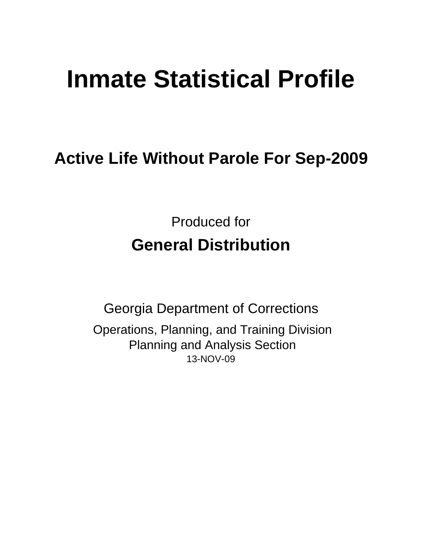# **Inmate Statistical Profile**

## **Active Life Without Parole For Sep-2009**

Produced for **General Distribution**

13-NOV-09 Georgia Department of Corrections Operations, Planning, and Training Division Planning and Analysis Section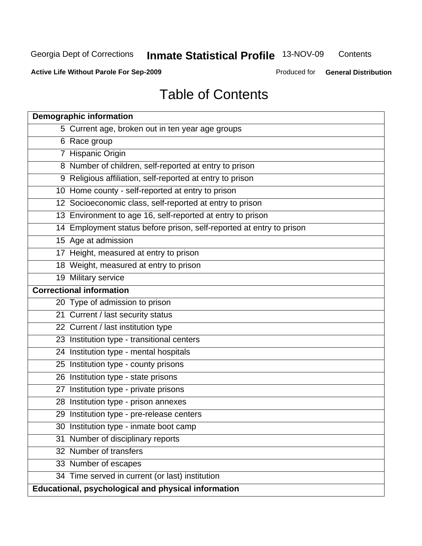**Contents** 

**Active Life Without Parole For Sep-2009**

Produced for **General Distribution**

## Table of Contents

| <b>Demographic information</b>                                       |
|----------------------------------------------------------------------|
| 5 Current age, broken out in ten year age groups                     |
| 6 Race group                                                         |
| 7 Hispanic Origin                                                    |
| 8 Number of children, self-reported at entry to prison               |
| 9 Religious affiliation, self-reported at entry to prison            |
| 10 Home county - self-reported at entry to prison                    |
| 12 Socioeconomic class, self-reported at entry to prison             |
| 13 Environment to age 16, self-reported at entry to prison           |
| 14 Employment status before prison, self-reported at entry to prison |
| 15 Age at admission                                                  |
| 17 Height, measured at entry to prison                               |
| 18 Weight, measured at entry to prison                               |
| 19 Military service                                                  |
| <b>Correctional information</b>                                      |
| 20 Type of admission to prison                                       |
| 21 Current / last security status                                    |
| 22 Current / last institution type                                   |
| 23 Institution type - transitional centers                           |
| 24 Institution type - mental hospitals                               |
| 25 Institution type - county prisons                                 |
| 26 Institution type - state prisons                                  |
| 27 Institution type - private prisons                                |
| 28 Institution type - prison annexes                                 |
| 29 Institution type - pre-release centers                            |
| 30 Institution type - inmate boot camp                               |
| Number of disciplinary reports<br>31                                 |
| 32 Number of transfers                                               |
| 33 Number of escapes                                                 |
| 34 Time served in current (or last) institution                      |
| Educational, psychological and physical information                  |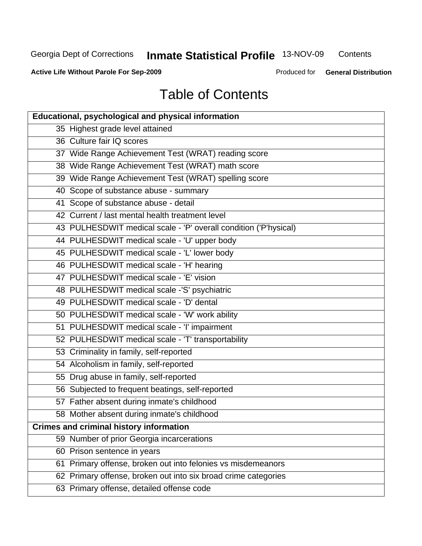**Contents** 

**Active Life Without Parole For Sep-2009**

Produced for **General Distribution**

## Table of Contents

| <b>Educational, psychological and physical information</b>       |
|------------------------------------------------------------------|
| 35 Highest grade level attained                                  |
| 36 Culture fair IQ scores                                        |
| 37 Wide Range Achievement Test (WRAT) reading score              |
| 38 Wide Range Achievement Test (WRAT) math score                 |
| 39 Wide Range Achievement Test (WRAT) spelling score             |
| 40 Scope of substance abuse - summary                            |
| 41 Scope of substance abuse - detail                             |
| 42 Current / last mental health treatment level                  |
| 43 PULHESDWIT medical scale - 'P' overall condition ('P'hysical) |
| 44 PULHESDWIT medical scale - 'U' upper body                     |
| 45 PULHESDWIT medical scale - 'L' lower body                     |
| 46 PULHESDWIT medical scale - 'H' hearing                        |
| 47 PULHESDWIT medical scale - 'E' vision                         |
| 48 PULHESDWIT medical scale -'S' psychiatric                     |
| 49 PULHESDWIT medical scale - 'D' dental                         |
| 50 PULHESDWIT medical scale - 'W' work ability                   |
| 51 PULHESDWIT medical scale - 'I' impairment                     |
| 52 PULHESDWIT medical scale - 'T' transportability               |
| 53 Criminality in family, self-reported                          |
| 54 Alcoholism in family, self-reported                           |
| 55 Drug abuse in family, self-reported                           |
| 56 Subjected to frequent beatings, self-reported                 |
| 57 Father absent during inmate's childhood                       |
| 58 Mother absent during inmate's childhood                       |
| <b>Crimes and criminal history information</b>                   |
| 59 Number of prior Georgia incarcerations                        |
| 60 Prison sentence in years                                      |
| Primary offense, broken out into felonies vs misdemeanors<br>61  |
| 62 Primary offense, broken out into six broad crime categories   |
| 63 Primary offense, detailed offense code                        |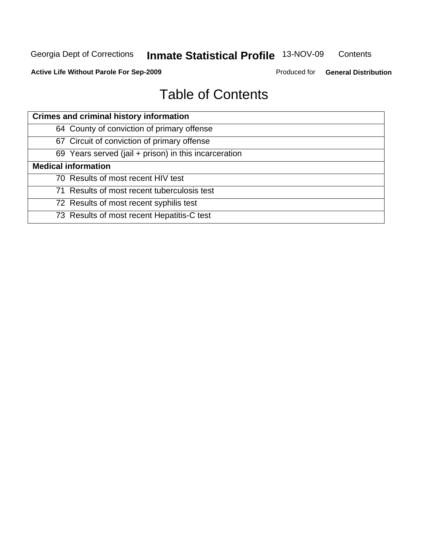**Contents** 

**Active Life Without Parole For Sep-2009**

Produced for **General Distribution**

## Table of Contents

| <b>Crimes and criminal history information</b>        |
|-------------------------------------------------------|
| 64 County of conviction of primary offense            |
| 67 Circuit of conviction of primary offense           |
| 69 Years served (jail + prison) in this incarceration |
| <b>Medical information</b>                            |
| 70 Results of most recent HIV test                    |
| 71 Results of most recent tuberculosis test           |
| 72 Results of most recent syphilis test               |
| 73 Results of most recent Hepatitis-C test            |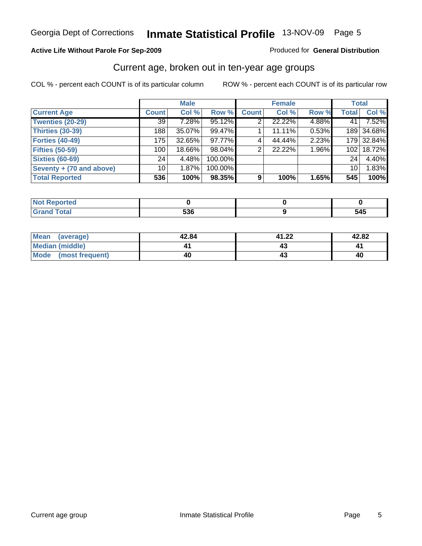#### **Active Life Without Parole For Sep-2009**

Produced for **General Distribution**

### Current age, broken out in ten-year age groups

|                          |              | <b>Male</b> |         |              | <b>Female</b> |       | <b>Total</b>     |            |
|--------------------------|--------------|-------------|---------|--------------|---------------|-------|------------------|------------|
| <b>Current Age</b>       | <b>Count</b> | Col %       | Row %   | <b>Count</b> | Col %         | Row % | <b>Total</b>     | Col %      |
| <b>Twenties (20-29)</b>  | 39           | $7.28\%$    | 95.12%  | 2            | 22.22%        | 4.88% | 41               | 7.52%      |
| Thirties (30-39)         | 188          | 35.07%      | 99.47%  |              | 11.11%        | 0.53% |                  | 189 34.68% |
| <b>Forties (40-49)</b>   | 175          | 32.65%      | 97.77%  | 4            | 44.44%        | 2.23% |                  | 179 32.84% |
| <b>Fifties (50-59)</b>   | 100          | 18.66%      | 98.04%  | 2            | 22.22%        | 1.96% | 102 <sub>1</sub> | 18.72%     |
| <b>Sixties (60-69)</b>   | 24           | 4.48%       | 100.00% |              |               |       | 24 <sub>1</sub>  | 4.40%      |
| Seventy + (70 and above) | 10           | 1.87%       | 100.00% |              |               |       | 10 <sup>1</sup>  | 1.83%      |
| <b>Total Reported</b>    | 536          | 100%        | 98.35%  | 9            | 100%          | 1.65% | 545              | 100%       |

| للمراجع بالتقييد<br>reo |                     |              |
|-------------------------|---------------------|--------------|
| <b>Grand Total</b>      | $\mathbf{r}$<br>ುುರ | - - -<br>545 |

| Mean<br>(average)      | 42.84 | 41.22 | 42.82 |
|------------------------|-------|-------|-------|
| <b>Median (middle)</b> |       |       |       |
| Mode (most frequent)   | 40    |       | 40    |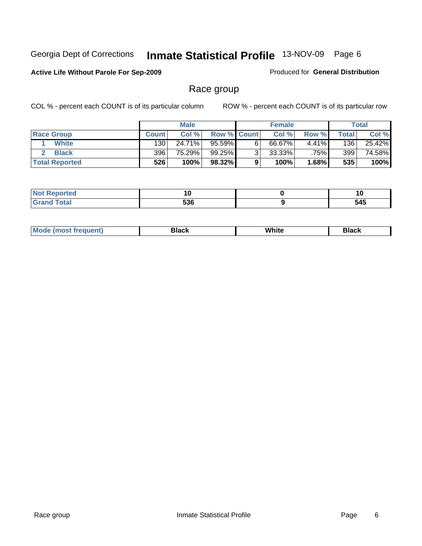#### **Active Life Without Parole For Sep-2009**

Produced for **General Distribution**

### Race group

|                       |              | <b>Male</b> |                    |   | <b>Female</b> |          |       | <b>Total</b> |
|-----------------------|--------------|-------------|--------------------|---|---------------|----------|-------|--------------|
| <b>Race Group</b>     | <b>Count</b> | Col %       | <b>Row % Count</b> |   | Col %         | Row %    | Total | Col %        |
| <b>White</b>          | 130          | 24.71%      | 95.59%             | 6 | 66.67%        | $4.41\%$ | 136   | 25.42%       |
| <b>Black</b>          | 396          | 75.29%      | 99.25%             |   | $33.33\%$     | .75%     | 399   | 74.58%       |
| <b>Total Reported</b> | 526          | 100%        | 98.32%             |   | 100%          | 1.68%    | 535   | 100%         |

| rtea<br>.                   | ้าบ               | יי  |
|-----------------------------|-------------------|-----|
| $\sim$ $\sim$ $\sim$ $\sim$ | EOC<br>ວວບ<br>--- | 545 |

| Mc | alack. | White | _____ |
|----|--------|-------|-------|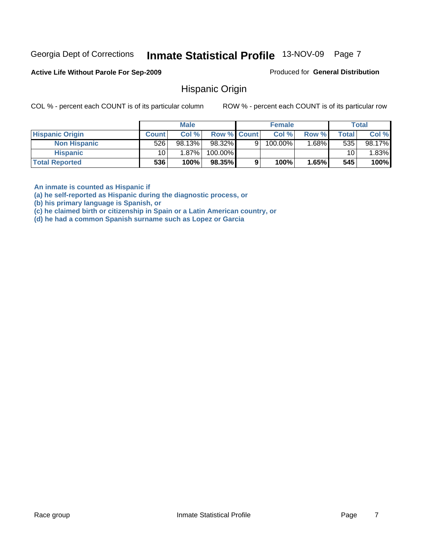#### **Active Life Without Parole For Sep-2009**

Produced for **General Distribution**

### Hispanic Origin

COL % - percent each COUNT is of its particular column ROW % - percent each COUNT is of its particular row

|                        |                 | <b>Male</b> |                    |   | <b>Female</b> |          |       | <b>Total</b> |
|------------------------|-----------------|-------------|--------------------|---|---------------|----------|-------|--------------|
| <b>Hispanic Origin</b> | <b>Count</b>    | Col %       | <b>Row % Count</b> |   | Col %         | Row %    | Total | Col %        |
| <b>Non Hispanic</b>    | 526             | 98.13%      | 98.32%             | 9 | 100.00%       | $1.68\%$ | 535   | 98.17%       |
| <b>Hispanic</b>        | 10 <sub>1</sub> | 1.87%       | 100.00%            |   |               |          | 10    | 1.83%        |
| <b>Total Reported</b>  | 536             | 100%        | 98.35%             | 9 | 100%          | 1.65%    | 545   | 100%         |

**An inmate is counted as Hispanic if** 

**(a) he self-reported as Hispanic during the diagnostic process, or** 

**(b) his primary language is Spanish, or** 

**(c) he claimed birth or citizenship in Spain or a Latin American country, or** 

**(d) he had a common Spanish surname such as Lopez or Garcia**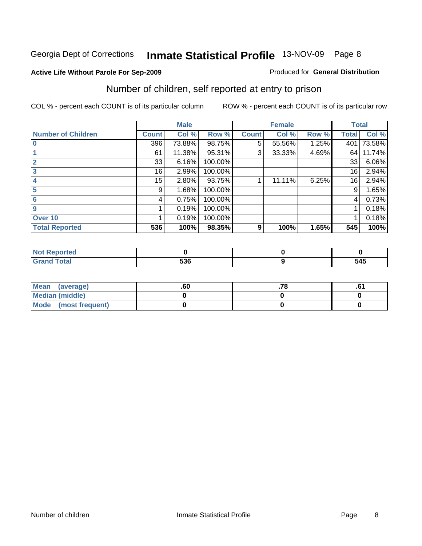#### **Active Life Without Parole For Sep-2009**

#### Produced for **General Distribution**

## Number of children, self reported at entry to prison

|                           |              | <b>Male</b> |         |              | <b>Female</b> |       | <b>Total</b> |        |
|---------------------------|--------------|-------------|---------|--------------|---------------|-------|--------------|--------|
| <b>Number of Children</b> | <b>Count</b> | Col %       | Row %   | <b>Count</b> | Col %         | Row % | <b>Total</b> | Col %  |
| $\overline{0}$            | 396          | 73.88%      | 98.75%  | 5            | 55.56%        | 1.25% | 401          | 73.58% |
|                           | 61           | 11.38%      | 95.31%  | 3            | 33.33%        | 4.69% | 64           | 11.74% |
| $\overline{2}$            | 33           | 6.16%       | 100.00% |              |               |       | 33           | 6.06%  |
| 3                         | 16           | 2.99%       | 100.00% |              |               |       | 16           | 2.94%  |
| 4                         | 15           | 2.80%       | 93.75%  |              | 11.11%        | 6.25% | 16           | 2.94%  |
| 5                         | 9            | 1.68%       | 100.00% |              |               |       | 9            | 1.65%  |
| 6                         | 4            | 0.75%       | 100.00% |              |               |       | 4            | 0.73%  |
| 9                         |              | 0.19%       | 100.00% |              |               |       |              | 0.18%  |
| Over 10                   |              | 0.19%       | 100.00% |              |               |       |              | 0.18%  |
| <b>Total Reported</b>     | 536          | 100%        | 98.35%  | 9            | 100%          | 1.65% | 545          | 100%   |

| ---<br>oneo |     |     |
|-------------|-----|-----|
| í ota'      | 536 | 545 |

| Mean (average)         | .60 | . . v | ו ט. |
|------------------------|-----|-------|------|
| <b>Median (middle)</b> |     |       |      |
| Mode (most frequent)   |     |       |      |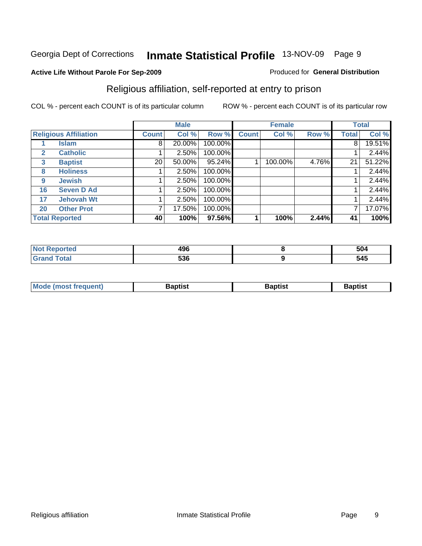### **Active Life Without Parole For Sep-2009**

#### Produced for **General Distribution**

### Religious affiliation, self-reported at entry to prison

|    |                              |                 | <b>Male</b> |         |              | <b>Female</b> |       |              | <b>Total</b> |
|----|------------------------------|-----------------|-------------|---------|--------------|---------------|-------|--------------|--------------|
|    | <b>Religious Affiliation</b> | <b>Count</b>    | Col %       | Row %   | <b>Count</b> | Col %         | Row % | <b>Total</b> | Col %        |
|    | Islam                        | 8               | 20.00%      | 100.00% |              |               |       | 8            | 19.51%       |
| 2  | <b>Catholic</b>              |                 | $2.50\%$    | 100.00% |              |               |       |              | 2.44%        |
| 3  | <b>Baptist</b>               | 20 <sub>1</sub> | 50.00%      | 95.24%  |              | 100.00%       | 4.76% | 21           | 51.22%       |
| 8  | <b>Holiness</b>              |                 | 2.50%       | 100.00% |              |               |       |              | 2.44%        |
| 9  | <b>Jewish</b>                |                 | 2.50%       | 100.00% |              |               |       |              | 2.44%        |
| 16 | <b>Seven D Ad</b>            |                 | 2.50%       | 100.00% |              |               |       |              | 2.44%        |
| 17 | <b>Jehovah Wt</b>            |                 | 2.50%       | 100.00% |              |               |       |              | 2.44%        |
| 20 | <b>Other Prot</b>            |                 | 17.50%      | 100.00% |              |               |       | 7            | 17.07%       |
|    | <b>Total Reported</b>        | 40              | 100%        | 97.56%  |              | 100%          | 2.44% | 41           | 100%         |

| . teo | 496 | 504 |
|-------|-----|-----|
|       | 536 | 545 |

| <b>Mode (most frequent)</b> | <b>Baptist</b> | 3aptist | <b>Baptist</b> |
|-----------------------------|----------------|---------|----------------|
|                             |                |         |                |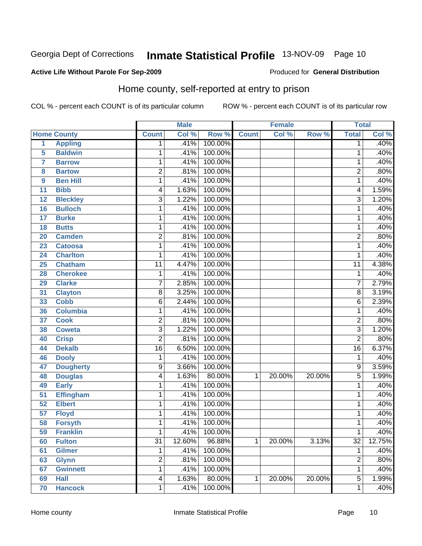#### **Active Life Without Parole For Sep-2009**

#### Produced for **General Distribution**

### Home county, self-reported at entry to prison

|                 |                    |                 | <b>Male</b> |         |              | <b>Female</b> |        | <b>Total</b>     |        |
|-----------------|--------------------|-----------------|-------------|---------|--------------|---------------|--------|------------------|--------|
|                 | <b>Home County</b> | <b>Count</b>    | Col %       | Row %   | <b>Count</b> | Col %         | Row %  | <b>Total</b>     | Col %  |
| 1               | <b>Appling</b>     | 1               | .41%        | 100.00% |              |               |        | 1                | .40%   |
| 5               | <b>Baldwin</b>     | 1               | .41%        | 100.00% |              |               |        | 1                | .40%   |
| $\overline{7}$  | <b>Barrow</b>      | 1               | .41%        | 100.00% |              |               |        | 1                | .40%   |
| 8               | <b>Bartow</b>      | 2               | .81%        | 100.00% |              |               |        | $\overline{2}$   | .80%   |
| 9               | <b>Ben Hill</b>    | 1               | .41%        | 100.00% |              |               |        | 1                | .40%   |
| 11              | <b>Bibb</b>        | 4               | 1.63%       | 100.00% |              |               |        | 4                | 1.59%  |
| 12              | <b>Bleckley</b>    | $\overline{3}$  | 1.22%       | 100.00% |              |               |        | $\overline{3}$   | 1.20%  |
| 16              | <b>Bulloch</b>     | 1               | .41%        | 100.00% |              |               |        | 1                | .40%   |
| 17              | <b>Burke</b>       | 1               | .41%        | 100.00% |              |               |        | 1                | .40%   |
| 18              | <b>Butts</b>       | 1               | .41%        | 100.00% |              |               |        | 1                | .40%   |
| 20              | <b>Camden</b>      | $\overline{2}$  | .81%        | 100.00% |              |               |        | $\overline{2}$   | .80%   |
| 23              | <b>Catoosa</b>     | 1               | .41%        | 100.00% |              |               |        | 1                | .40%   |
| 24              | <b>Charlton</b>    | 1               | .41%        | 100.00% |              |               |        | 1                | .40%   |
| 25              | <b>Chatham</b>     | 11              | 4.47%       | 100.00% |              |               |        | $\overline{11}$  | 4.38%  |
| 28              | <b>Cherokee</b>    | 1               | .41%        | 100.00% |              |               |        | 1                | .40%   |
| 29              | <b>Clarke</b>      | 7               | 2.85%       | 100.00% |              |               |        | 7                | 2.79%  |
| 31              | <b>Clayton</b>     | 8               | 3.25%       | 100.00% |              |               |        | 8                | 3.19%  |
| 33              | <b>Cobb</b>        | 6               | 2.44%       | 100.00% |              |               |        | 6                | 2.39%  |
| 36              | <b>Columbia</b>    | 1               | .41%        | 100.00% |              |               |        | 1                | .40%   |
| 37              | <b>Cook</b>        | $\overline{2}$  | .81%        | 100.00% |              |               |        | $\boldsymbol{2}$ | .80%   |
| 38              | <b>Coweta</b>      | 3               | 1.22%       | 100.00% |              |               |        | $\overline{3}$   | 1.20%  |
| 40              | <b>Crisp</b>       | $\overline{2}$  | .81%        | 100.00% |              |               |        | $\overline{2}$   | .80%   |
| 44              | <b>Dekalb</b>      | $\overline{16}$ | 6.50%       | 100.00% |              |               |        | $\overline{16}$  | 6.37%  |
| 46              | <b>Dooly</b>       | 1               | .41%        | 100.00% |              |               |        | 1                | .40%   |
| 47              | <b>Dougherty</b>   | 9               | 3.66%       | 100.00% |              |               |        | 9                | 3.59%  |
| 48              | <b>Douglas</b>     | 4               | 1.63%       | 80.00%  | 1            | 20.00%        | 20.00% | 5                | 1.99%  |
| 49              | <b>Early</b>       | 1               | .41%        | 100.00% |              |               |        | 1                | .40%   |
| 51              | <b>Effingham</b>   | 1               | .41%        | 100.00% |              |               |        | 1                | .40%   |
| 52              | <b>Elbert</b>      | 1               | .41%        | 100.00% |              |               |        | 1                | .40%   |
| $\overline{57}$ | <b>Floyd</b>       | 1               | .41%        | 100.00% |              |               |        | 1                | .40%   |
| 58              | <b>Forsyth</b>     | 1               | .41%        | 100.00% |              |               |        | 1                | .40%   |
| 59              | <b>Franklin</b>    | 1               | .41%        | 100.00% |              |               |        | 1                | .40%   |
| 60              | <b>Fulton</b>      | $\overline{31}$ | 12.60%      | 96.88%  | $\mathbf{1}$ | 20.00%        | 3.13%  | $\overline{32}$  | 12.75% |
| 61              | <b>Gilmer</b>      | 1               | .41%        | 100.00% |              |               |        | 1                | .40%   |
| 63              | <b>Glynn</b>       | $\overline{2}$  | .81%        | 100.00% |              |               |        | $\overline{2}$   | .80%   |
| 67              | <b>Gwinnett</b>    | 1               | .41%        | 100.00% |              |               |        | 1                | .40%   |
| 69              | <b>Hall</b>        | 4               | 1.63%       | 80.00%  | 1            | 20.00%        | 20.00% | 5                | 1.99%  |
| 70              | <b>Hancock</b>     | 1               | .41%        | 100.00% |              |               |        | 1                | .40%   |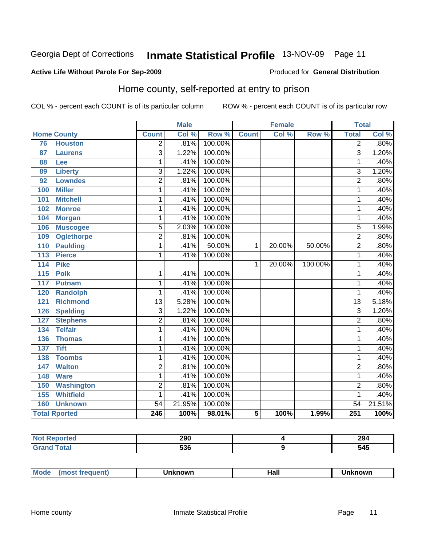#### **Active Life Without Parole For Sep-2009**

#### Produced for **General Distribution**

## Home county, self-reported at entry to prison

|                  |                      |                 | <b>Male</b> |         |              | <b>Female</b> |         | <b>Total</b>    |        |
|------------------|----------------------|-----------------|-------------|---------|--------------|---------------|---------|-----------------|--------|
|                  | <b>Home County</b>   | <b>Count</b>    | Col %       | Row %   | <b>Count</b> | Col %         | Row %   | <b>Total</b>    | Col %  |
| 76               | <b>Houston</b>       | $\overline{2}$  | .81%        | 100.00% |              |               |         | $\overline{2}$  | .80%   |
| 87               | <b>Laurens</b>       | $\overline{3}$  | 1.22%       | 100.00% |              |               |         | $\overline{3}$  | 1.20%  |
| 88               | Lee                  | 1               | .41%        | 100.00% |              |               |         | 1               | .40%   |
| 89               | <b>Liberty</b>       | $\overline{3}$  | 1.22%       | 100.00% |              |               |         | 3               | 1.20%  |
| $\overline{92}$  | <b>Lowndes</b>       | $\overline{2}$  | .81%        | 100.00% |              |               |         | $\overline{2}$  | .80%   |
| 100              | <b>Miller</b>        | 1               | .41%        | 100.00% |              |               |         | 1               | .40%   |
| 101              | <b>Mitchell</b>      | 1               | .41%        | 100.00% |              |               |         | 1               | .40%   |
| 102              | <b>Monroe</b>        | 1               | .41%        | 100.00% |              |               |         | 1               | .40%   |
| 104              | <b>Morgan</b>        | 1               | .41%        | 100.00% |              |               |         | 1               | .40%   |
| 106              | <b>Muscogee</b>      | $\overline{5}$  | 2.03%       | 100.00% |              |               |         | $\overline{5}$  | 1.99%  |
| 109              | <b>Oglethorpe</b>    | $\overline{2}$  | .81%        | 100.00% |              |               |         | $\overline{2}$  | .80%   |
| 110              | <b>Paulding</b>      | $\overline{1}$  | .41%        | 50.00%  | 1            | 20.00%        | 50.00%  | $\overline{2}$  | .80%   |
| $\overline{113}$ | <b>Pierce</b>        | 1               | .41%        | 100.00% |              |               |         | 1               | .40%   |
| 114              | <b>Pike</b>          |                 |             |         | 1            | 20.00%        | 100.00% | 1               | .40%   |
| 115              | <b>Polk</b>          | 1               | .41%        | 100.00% |              |               |         | 1               | .40%   |
| 117              | <b>Putnam</b>        | 1               | .41%        | 100.00% |              |               |         | 1               | .40%   |
| 120              | <b>Randolph</b>      | 1               | .41%        | 100.00% |              |               |         | 1               | .40%   |
| 121              | <b>Richmond</b>      | $\overline{13}$ | 5.28%       | 100.00% |              |               |         | 13              | 5.18%  |
| 126              | <b>Spalding</b>      | $\overline{3}$  | 1.22%       | 100.00% |              |               |         | $\overline{3}$  | 1.20%  |
| 127              | <b>Stephens</b>      | $\overline{2}$  | .81%        | 100.00% |              |               |         | $\overline{2}$  | .80%   |
| 134              | <b>Telfair</b>       | $\overline{1}$  | .41%        | 100.00% |              |               |         | $\overline{1}$  | .40%   |
| 136              | <b>Thomas</b>        | 1               | .41%        | 100.00% |              |               |         | 1               | .40%   |
| 137              | <b>Tift</b>          | 1               | .41%        | 100.00% |              |               |         | 1               | .40%   |
| 138              | <b>Toombs</b>        | 1               | .41%        | 100.00% |              |               |         | 1               | .40%   |
| 147              | <b>Walton</b>        | $\overline{2}$  | .81%        | 100.00% |              |               |         | $\overline{2}$  | .80%   |
| 148              | <b>Ware</b>          | 1               | .41%        | 100.00% |              |               |         | $\overline{1}$  | .40%   |
| 150              | <b>Washington</b>    | $\overline{2}$  | .81%        | 100.00% |              |               |         | $\overline{2}$  | .80%   |
| 155              | <b>Whitfield</b>     | 1               | .41%        | 100.00% |              |               |         | 1               | .40%   |
| 160              | <b>Unknown</b>       | $\overline{54}$ | 21.95%      | 100.00% |              |               |         | $\overline{54}$ | 21.51% |
|                  | <b>Total Rported</b> | 246             | 100%        | 98.01%  | 5            | 100%          | 1.99%   | 251             | 100%   |

| orted       | חמכ<br>ZJU | 294 |
|-------------|------------|-----|
| <b>otal</b> | につぐ<br>JJU | 545 |

| <b>Moo.</b><br>Hall<br><b>‹nown</b><br>own<br>______ |
|------------------------------------------------------|
|------------------------------------------------------|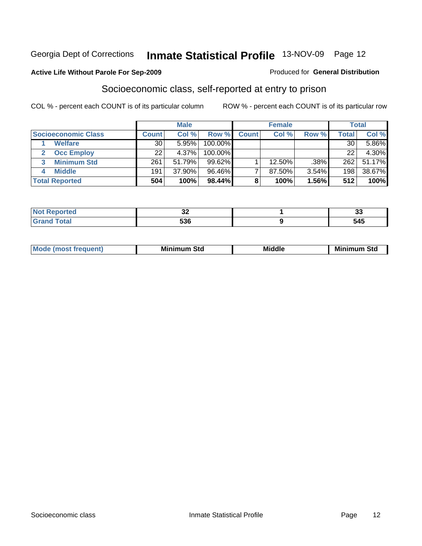#### **Active Life Without Parole For Sep-2009**

#### Produced for **General Distribution**

### Socioeconomic class, self-reported at entry to prison

|                            |              | <b>Male</b> |           |              | <b>Female</b> |       |              | <b>Total</b> |
|----------------------------|--------------|-------------|-----------|--------------|---------------|-------|--------------|--------------|
| <b>Socioeconomic Class</b> | <b>Count</b> | Col %       | Row %     | <b>Count</b> | Col %         | Row % | <b>Total</b> | Col %        |
| <b>Welfare</b>             | 30           | 5.95%       | 100.00%   |              |               |       | 30           | $5.86\%$     |
| <b>Occ Employ</b>          | 22           | 4.37%       | 100.00%   |              |               |       | 22           | 4.30%        |
| <b>Minimum Std</b>         | 261          | 51.79%      | $99.62\%$ |              | 12.50%        | .38%  | 262          | 51.17%       |
| <b>Middle</b>              | 191          | 37.90%      | 96.46%    |              | 87.50%        | 3.54% | 198          | 38.67%       |
| <b>Total Reported</b>      | 504          | 100%        | 98.44%    |              | 100%          | 1.56% | 512          | 100%         |

| <b>Continued in the Continued Inc.</b><br>tetol<br>m. | $\sim$<br>◡▵ | $\sim$<br>v. |
|-------------------------------------------------------|--------------|--------------|
| $f \wedge f \wedge f'$                                | E90<br>ჂᲙႩ   | 61K<br>J4J   |

|  | M | Mil<br>Std<br>___ | <b>Middle</b> | Mir<br>Std<br>. <b>.</b> . |
|--|---|-------------------|---------------|----------------------------|
|--|---|-------------------|---------------|----------------------------|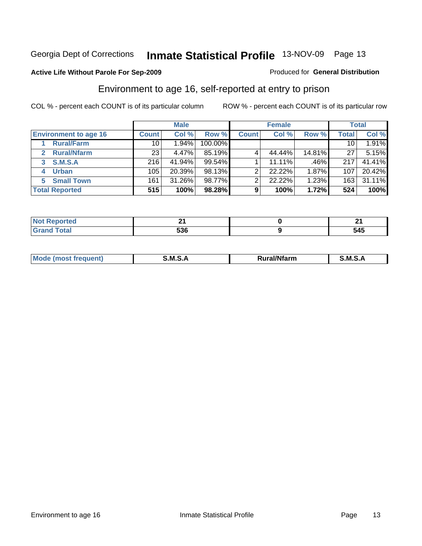#### **Active Life Without Parole For Sep-2009**

#### Produced for **General Distribution**

### Environment to age 16, self-reported at entry to prison

|                              |              | <b>Male</b> |         |              | <b>Female</b> |        |              | <b>Total</b> |
|------------------------------|--------------|-------------|---------|--------------|---------------|--------|--------------|--------------|
| <b>Environment to age 16</b> | <b>Count</b> | Col %       | Row %   | <b>Count</b> | Col %         | Row %  | <b>Total</b> | Col %        |
| <b>Rural/Farm</b>            | 10           | 1.94%       | 100.00% |              |               |        | 10           | 1.91%        |
| <b>Rural/Nfarm</b><br>2      | 231          | 4.47%       | 85.19%  |              | 44.44%        | 14.81% | 27           | 5.15%        |
| <b>S.M.S.A</b><br>3          | 216          | 41.94%      | 99.54%  |              | 11.11%        | .46%   | 217          | 41.41%       |
| <b>Urban</b><br>4            | 105          | 20.39%      | 98.13%  | ◠            | 22.22%        | 1.87%  | 107          | 20.42%       |
| <b>Small Town</b><br>5       | 161          | 31.26%      | 98.77%  | ◠            | 22.22%        | 1.23%  | 163          | 31.11%       |
| <b>Total Reported</b>        | 515          | 100%        | 98.28%  | 9            | 100%          | 1.72%  | 524          | 100%         |

| <b>rted</b>           |     | м.  |
|-----------------------|-----|-----|
| <b>Total</b><br>Grand | 536 | 545 |

| М<br>$-10.11$<br>.<br>M<br>.<br>M<br>ar<br>$\mathbf{r}$<br>-- |  |  |
|---------------------------------------------------------------|--|--|
|                                                               |  |  |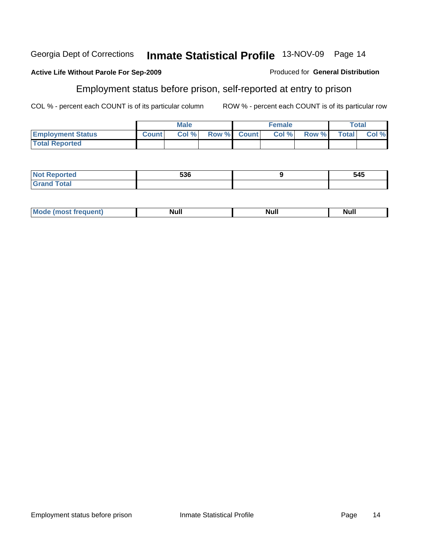#### **Active Life Without Parole For Sep-2009**

### Employment status before prison, self-reported at entry to prison

COL % - percent each COUNT is of its particular column ROW % - percent each COUNT is of its particular row

Produced for **General Distribution**

|                          |              | <b>Male</b> |             | Female |       |                    | <b>Total</b> |
|--------------------------|--------------|-------------|-------------|--------|-------|--------------------|--------------|
| <b>Employment Status</b> | <b>Count</b> | Col %       | Row % Count | Col %  | Row % | Total <sub>1</sub> | Col %        |
| <b>Total Reported</b>    |              |             |             |        |       |                    |              |

| <b>ported</b><br>NO<br>.                                     | 536 | 545 |
|--------------------------------------------------------------|-----|-----|
| $T \cap A \cap I$<br>Cron<br><b>Oldi</b><br>$\mathbf{v}$ and |     |     |

| <b>Mo</b><br>Null<br><b>Null</b><br>Nul. |  |  |
|------------------------------------------|--|--|
|                                          |  |  |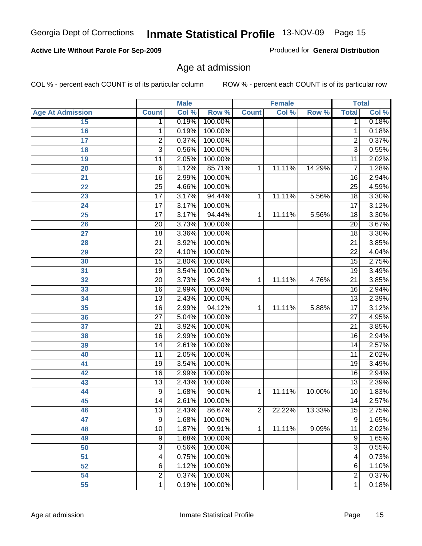#### **Active Life Without Parole For Sep-2009**

### Age at admission

COL % - percent each COUNT is of its particular column R

| ROW % - percent each COUNT is of its particular row |  |  |
|-----------------------------------------------------|--|--|
|-----------------------------------------------------|--|--|

|                         |                 | <b>Male</b> |         |                | <b>Female</b> |        |                 | <b>Total</b> |
|-------------------------|-----------------|-------------|---------|----------------|---------------|--------|-----------------|--------------|
| <b>Age At Admission</b> | <b>Count</b>    | Col %       | Row %   | <b>Count</b>   | Col %         | Row %  | <b>Total</b>    | Col %        |
| 15                      | 1               | 0.19%       | 100.00% |                |               |        | $\overline{1}$  | 0.18%        |
| 16                      | 1               | 0.19%       | 100.00% |                |               |        | 1               | 0.18%        |
| $\overline{17}$         | $\overline{2}$  | 0.37%       | 100.00% |                |               |        | $\overline{2}$  | 0.37%        |
| 18                      | $\overline{3}$  | 0.56%       | 100.00% |                |               |        | $\overline{3}$  | 0.55%        |
| 19                      | 11              | 2.05%       | 100.00% |                |               |        | 11              | 2.02%        |
| 20                      | 6               | 1.12%       | 85.71%  | 1              | 11.11%        | 14.29% | 7               | 1.28%        |
| 21                      | $\overline{16}$ | 2.99%       | 100.00% |                |               |        | 16              | 2.94%        |
| 22                      | $\overline{25}$ | 4.66%       | 100.00% |                |               |        | $\overline{25}$ | 4.59%        |
| 23                      | $\overline{17}$ | 3.17%       | 94.44%  | 1              | 11.11%        | 5.56%  | $\overline{18}$ | 3.30%        |
| 24                      | $\overline{17}$ | 3.17%       | 100.00% |                |               |        | 17              | 3.12%        |
| $\overline{25}$         | $\overline{17}$ | 3.17%       | 94.44%  | 1              | 11.11%        | 5.56%  | $\overline{18}$ | 3.30%        |
| 26                      | $\overline{20}$ | 3.73%       | 100.00% |                |               |        | $\overline{20}$ | 3.67%        |
| 27                      | $\overline{18}$ | 3.36%       | 100.00% |                |               |        | $\overline{18}$ | 3.30%        |
| 28                      | $\overline{21}$ | 3.92%       | 100.00% |                |               |        | $\overline{21}$ | 3.85%        |
| 29                      | $\overline{22}$ | 4.10%       | 100.00% |                |               |        | $\overline{22}$ | 4.04%        |
| 30                      | $\overline{15}$ | 2.80%       | 100.00% |                |               |        | 15              | 2.75%        |
| 31                      | $\overline{19}$ | 3.54%       | 100.00% |                |               |        | $\overline{19}$ | 3.49%        |
| 32                      | $\overline{20}$ | 3.73%       | 95.24%  | 1              | 11.11%        | 4.76%  | $\overline{21}$ | 3.85%        |
| 33                      | $\overline{16}$ | 2.99%       | 100.00% |                |               |        | $\overline{16}$ | 2.94%        |
| 34                      | $\overline{13}$ | 2.43%       | 100.00% |                |               |        | $\overline{13}$ | 2.39%        |
| 35                      | $\overline{16}$ | 2.99%       | 94.12%  | 1              | 11.11%        | 5.88%  | $\overline{17}$ | 3.12%        |
| 36                      | $\overline{27}$ | 5.04%       | 100.00% |                |               |        | $\overline{27}$ | 4.95%        |
| 37                      | $\overline{21}$ | 3.92%       | 100.00% |                |               |        | $\overline{21}$ | 3.85%        |
| 38                      | $\overline{16}$ | 2.99%       | 100.00% |                |               |        | $\overline{16}$ | 2.94%        |
| 39                      | $\overline{14}$ | 2.61%       | 100.00% |                |               |        | $\overline{14}$ | 2.57%        |
| 40                      | $\overline{11}$ | 2.05%       | 100.00% |                |               |        | 11              | 2.02%        |
| 41                      | $\overline{19}$ | 3.54%       | 100.00% |                |               |        | $\overline{19}$ | 3.49%        |
| 42                      | $\overline{16}$ | 2.99%       | 100.00% |                |               |        | 16              | 2.94%        |
| 43                      | $\overline{13}$ | 2.43%       | 100.00% |                |               |        | $\overline{13}$ | 2.39%        |
| 44                      | 9               | 1.68%       | 90.00%  | 1              | 11.11%        | 10.00% | 10              | 1.83%        |
| 45                      | $\overline{14}$ | 2.61%       | 100.00% |                |               |        | $\overline{14}$ | 2.57%        |
| 46                      | 13              | 2.43%       | 86.67%  | $\overline{2}$ | 22.22%        | 13.33% | 15              | 2.75%        |
| 47                      | 9               | 1.68%       | 100.00% |                |               |        | $\overline{9}$  | 1.65%        |
| 48                      | 10              | 1.87%       | 90.91%  | 1              | 11.11%        | 9.09%  | 11              | 2.02%        |
| 49                      | 9               | 1.68%       | 100.00% |                |               |        | 9               | 1.65%        |
| 50                      | 3               | 0.56%       | 100.00% |                |               |        | 3               | 0.55%        |
| 51                      | 4               | 0.75%       | 100.00% |                |               |        | 4               | 0.73%        |
| 52                      | 6               | 1.12%       | 100.00% |                |               |        | $\,6$           | 1.10%        |
| 54                      | $\overline{2}$  | 0.37%       | 100.00% |                |               |        | $\overline{c}$  | 0.37%        |
| 55                      | 1               | 0.19%       | 100.00% |                |               |        | 1               | 0.18%        |

Produced for **General Distribution**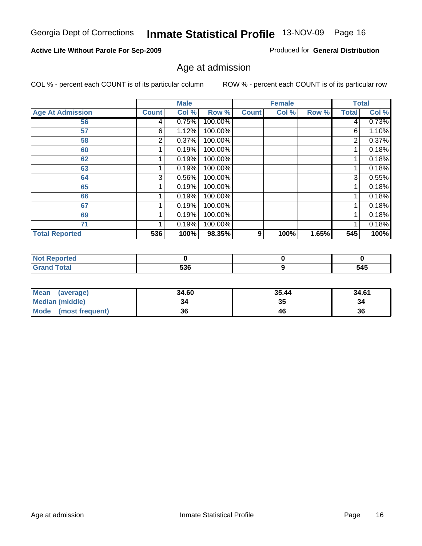**67 69**

| <b>Not Reported</b> |     |  |
|---------------------|-----|--|
| <b>Grand Total</b>  | 536 |  |
|                     |     |  |

| Mean<br>(average)    | 34.60 | 35.44 | 34.61 |
|----------------------|-------|-------|-------|
| Median (middle)      |       | 35    | 34    |
| Mode (most frequent) | 36    | 46    | 36    |

 **Total Reported 536 100% 98.35% 9 100% 1.65% 545 100%** 

## Age at admission

**Male**

 0.75% 1.12% 0.37% 0.19% 0.19% 0.19% 0.56% 0.19% 0.19% 0.19% 0.19% 0.19%  100.00% 100.00% 100.00% 100.00% 100.00% 100.00% 100.00% 100.00% 100.00% 100.00% 100.00% 100.00%

 **Age At Admission Count Col % Row % Count Col % Row % Total Col %** 

**Active Life Without Parole For Sep-2009**

 **71**

COL % - percent each COUNT is of its particular column ROW % - percent each COUNT is of its particular row

**Female Total**

> **0 545**

 0.73% 1.10% 0.37% 0.18% 0.18% 0.18% 0.55% 0.18% 0.18% 0.18% 0.18% 0.18%

| Georgia Dept of Corrections Inmate Statistical Profile 13-NOV-09 Page 16 |  |
|--------------------------------------------------------------------------|--|

Ι

## Produced for **General Distribution**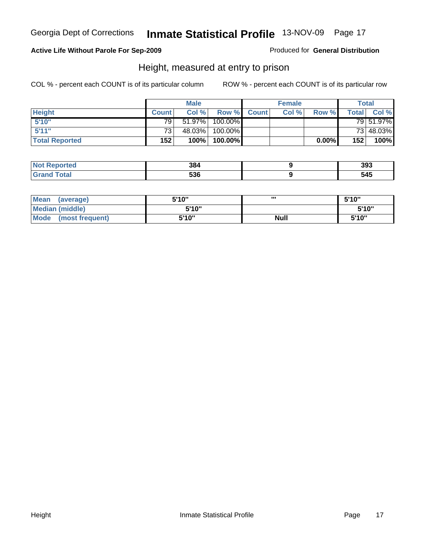#### **Active Life Without Parole For Sep-2009**

Produced for **General Distribution**

### Height, measured at entry to prison

|                       |                 | <b>Male</b> |                  |             | <b>Female</b> |          |              | Total     |
|-----------------------|-----------------|-------------|------------------|-------------|---------------|----------|--------------|-----------|
| <b>Height</b>         | <b>Count</b>    | Col%        |                  | Row % Count | Col %         | Row %    | <b>Total</b> | Col %     |
| 5'10''                | 79 l            | 51.97%      | 100.00%          |             |               |          |              | 79 51.97% |
| 5'11''                | 73 <sub>1</sub> | 48.03%      | $100.00\%$       |             |               |          |              | 73 48.03% |
| <b>Total Reported</b> | 152             | 100%        | 100.00% <b> </b> |             |               | $0.00\%$ | 152          | 100%      |

| <b>Not</b><br><b>rted</b><br>enor | 384        | 393 |
|-----------------------------------|------------|-----|
| <b>Total</b><br>'Grano            | ESC<br>JJD | 545 |

| Mean<br>(average)       | 5'10" | ,,,         | 5'10'' |
|-------------------------|-------|-------------|--------|
| Median (middle)         | 5'10" |             | 5'10"  |
| Mode<br>(most frequent) | 5'10" | <b>Null</b> | 5'10"  |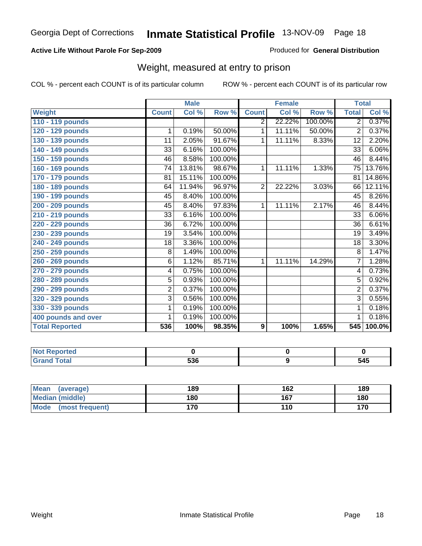#### **Active Life Without Parole For Sep-2009**

Produced for **General Distribution**

### Weight, measured at entry to prison

|                       |                 | <b>Male</b> |         |                  | <b>Female</b> |         | <b>Total</b>    |        |
|-----------------------|-----------------|-------------|---------|------------------|---------------|---------|-----------------|--------|
| <b>Weight</b>         | <b>Count</b>    | Col %       | Row %   | <b>Count</b>     | Col %         | Row %   | <b>Total</b>    | Col %  |
| 110 - 119 pounds      |                 |             |         | 2                | 22.22%        | 100.00% | $\overline{2}$  | 0.37%  |
| 120 - 129 pounds      | 1               | 0.19%       | 50.00%  | 1                | 11.11%        | 50.00%  | $\overline{2}$  | 0.37%  |
| 130 - 139 pounds      | 11              | 2.05%       | 91.67%  | 1                | 11.11%        | 8.33%   | 12              | 2.20%  |
| 140 - 149 pounds      | 33              | 6.16%       | 100.00% |                  |               |         | $\overline{33}$ | 6.06%  |
| 150 - 159 pounds      | 46              | 8.58%       | 100.00% |                  |               |         | 46              | 8.44%  |
| 160 - 169 pounds      | 74              | 13.81%      | 98.67%  | 1                | 11.11%        | 1.33%   | $\overline{75}$ | 13.76% |
| 170 - 179 pounds      | 81              | 15.11%      | 100.00% |                  |               |         | 81              | 14.86% |
| 180 - 189 pounds      | 64              | 11.94%      | 96.97%  | $\overline{2}$   | 22.22%        | 3.03%   | 66              | 12.11% |
| 190 - 199 pounds      | 45              | 8.40%       | 100.00% |                  |               |         | 45              | 8.26%  |
| 200 - 209 pounds      | 45              | 8.40%       | 97.83%  | 1                | 11.11%        | 2.17%   | 46              | 8.44%  |
| 210 - 219 pounds      | 33              | 6.16%       | 100.00% |                  |               |         | 33              | 6.06%  |
| 220 - 229 pounds      | 36              | 6.72%       | 100.00% |                  |               |         | $\overline{36}$ | 6.61%  |
| 230 - 239 pounds      | 19              | 3.54%       | 100.00% |                  |               |         | 19              | 3.49%  |
| 240 - 249 pounds      | $\overline{18}$ | 3.36%       | 100.00% |                  |               |         | $\overline{18}$ | 3.30%  |
| 250 - 259 pounds      | $\overline{8}$  | 1.49%       | 100.00% |                  |               |         | 8               | 1.47%  |
| 260 - 269 pounds      | $\overline{6}$  | 1.12%       | 85.71%  | 1                | 11.11%        | 14.29%  | $\overline{7}$  | 1.28%  |
| 270 - 279 pounds      | 4               | 0.75%       | 100.00% |                  |               |         | 4               | 0.73%  |
| 280 - 289 pounds      | 5               | 0.93%       | 100.00% |                  |               |         | $\overline{5}$  | 0.92%  |
| 290 - 299 pounds      | 2               | 0.37%       | 100.00% |                  |               |         | $\overline{2}$  | 0.37%  |
| 320 - 329 pounds      | 3               | 0.56%       | 100.00% |                  |               |         | $\overline{3}$  | 0.55%  |
| 330 - 339 pounds      | 1               | 0.19%       | 100.00% |                  |               |         | 1               | 0.18%  |
| 400 pounds and over   | 1               | 0.19%       | 100.00% |                  |               |         | 1               | 0.18%  |
| <b>Total Reported</b> | 536             | 100%        | 98.35%  | $\boldsymbol{9}$ | 100%          | 1.65%   | 545             | 100.0% |

| <b>Reported</b><br>NO: |            |     |
|------------------------|------------|-----|
| <b>Total</b><br>$\sim$ | ESC<br>ววง | 545 |

| <b>Mean</b><br>(average)       | 189 | 162 | 189 |
|--------------------------------|-----|-----|-----|
| <b>Median (middle)</b>         | 180 | 167 | 180 |
| <b>Mode</b><br>(most frequent) | 170 | 110 | 170 |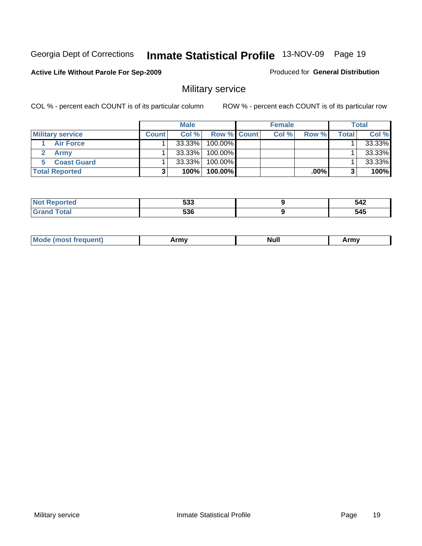#### **Active Life Without Parole For Sep-2009**

Produced for **General Distribution**

### Military service

|                         |              | <b>Male</b> |             | <b>Female</b> |         |       | Total  |
|-------------------------|--------------|-------------|-------------|---------------|---------|-------|--------|
| <b>Military service</b> | <b>Count</b> | Col %       | Row % Count | Col %         | Row %   | Total | Col %  |
| <b>Air Force</b>        |              | $33.33\%$   | 100.00%     |               |         |       | 33.33% |
| <b>Army</b>             |              | $33.33\%$   | 100.00%     |               |         |       | 33.33% |
| <b>Coast Guard</b>      |              | $33.33\%$   | 100.00%     |               |         |       | 33.33% |
| <b>Total Reported</b>   |              | 100%        | $100.00\%$  |               | $.00\%$ |       | 100%   |

| -00<br>دەت | - - -<br>-<br>----<br>$\sim$ $\sim$ $\sim$ $\sim$ $\sim$ $\sim$ |
|------------|-----------------------------------------------------------------|
| ---        | $-$ A E $-$                                                     |

| <b>Mode (most frequent)</b> | Army | <b>Null</b> | Army |
|-----------------------------|------|-------------|------|
|                             |      |             |      |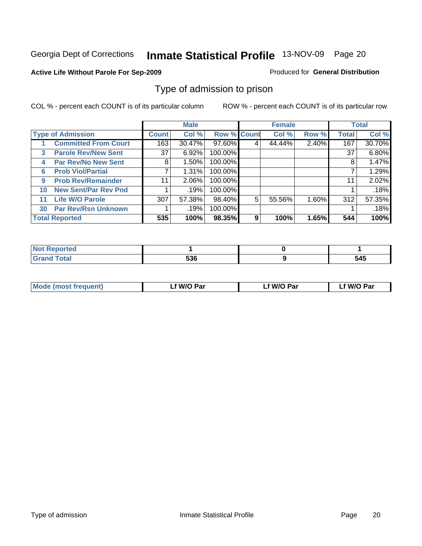#### **Active Life Without Parole For Sep-2009**

#### Produced for **General Distribution**

### Type of admission to prison

|    |                             |              | <b>Male</b> |                    |   | <b>Female</b> |       |              | <b>Total</b> |
|----|-----------------------------|--------------|-------------|--------------------|---|---------------|-------|--------------|--------------|
|    | <b>Type of Admission</b>    | <b>Count</b> | Col %       | <b>Row % Count</b> |   | Col %         | Row % | <b>Total</b> | Col %        |
|    | <b>Committed From Court</b> | 163          | 30.47%      | 97.60%             |   | 44.44%        | 2.40% | 167          | 30.70%       |
| 3  | <b>Parole Rev/New Sent</b>  | 37           | 6.92%       | 100.00%            |   |               |       | 37           | 6.80%        |
| 4  | <b>Par Rev/No New Sent</b>  | 8            | $1.50\%$    | 100.00%            |   |               |       | 8            | 1.47%        |
| 6  | <b>Prob Viol/Partial</b>    | 7            | 1.31%       | 100.00%            |   |               |       |              | 1.29%        |
| 9  | <b>Prob Rev/Remainder</b>   | 11           | $2.06\%$    | 100.00%            |   |               |       | 11           | 2.02%        |
| 10 | <b>New Sent/Par Rev Pnd</b> |              | .19%        | 100.00%            |   |               |       |              | .18%         |
| 11 | <b>Life W/O Parole</b>      | 307          | 57.38%      | 98.40%             | 5 | 55.56%        | 1.60% | 312          | 57.35%       |
| 30 | <b>Par Rev/Rsn Unknown</b>  |              | .19%        | 100.00%            |   |               |       |              | .18%         |
|    | <b>Total Reported</b>       | 535          | 100%        | 98.35%             | 9 | 100%          | 1.65% | 544          | 100%         |

| <b>ported</b>                   |             |     |
|---------------------------------|-------------|-----|
| <b>Total</b><br>Cro<br>$\sim$ . | rn r<br>ວວບ | 545 |

| <b>Mode (most frequent)</b> | f W/O Par | <sup>€</sup> W/O Par | W/O Par |
|-----------------------------|-----------|----------------------|---------|
|                             |           |                      |         |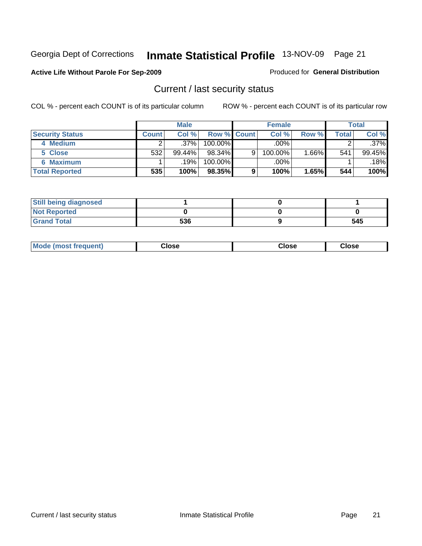#### **Active Life Without Parole For Sep-2009**

#### Produced for **General Distribution**

### Current / last security status

|                        |        | <b>Male</b> |                    |   | <b>Female</b> |         |       | <b>Total</b> |
|------------------------|--------|-------------|--------------------|---|---------------|---------|-------|--------------|
| <b>Security Status</b> | Count⊺ | Col%        | <b>Row % Count</b> |   | Col %         | Row %   | Total | Col %        |
| 4 Medium               |        | $.37\%$     | $100.00\%$         |   | $.00\%$       |         |       | $.37\%$      |
| 5 Close                | 532    | $99.44\%$   | $98.34\%$          | 9 | 100.00%       | $.66\%$ | 541   | 99.45%       |
| <b>6 Maximum</b>       |        | $.19\%$     | 100.00%            |   | .00%          |         |       | .18%         |
| <b>Total Reported</b>  | 535    | 100%        | 98.35%             | 9 | 100%          | 1.65%   | 544   | 100%         |

| <b>Still being diagnosed</b> |     |     |
|------------------------------|-----|-----|
| <b>Not Reported</b>          |     |     |
| <b>Grand Total</b>           | 536 | 545 |

| <b>Mode</b><br>frequent)<br>most | Close<br>___ | Close | Close |
|----------------------------------|--------------|-------|-------|
|                                  |              |       |       |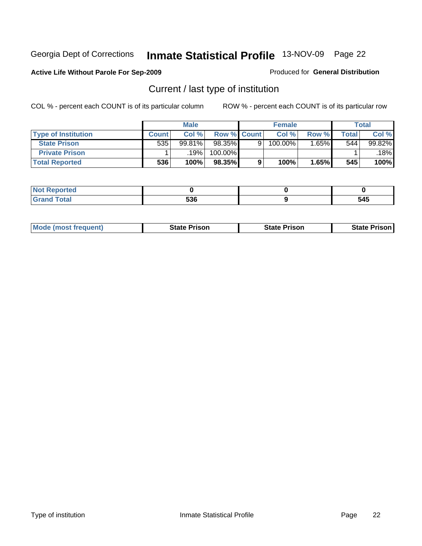#### **Active Life Without Parole For Sep-2009**

#### Produced for **General Distribution**

## Current / last type of institution

|                            |       | <b>Male</b> |                    | <b>Female</b> |         |       | <b>Total</b> |
|----------------------------|-------|-------------|--------------------|---------------|---------|-------|--------------|
| <b>Type of Institution</b> | Count | Col %       | <b>Row % Count</b> | Col %         | Row %   | Total | Col %        |
| <b>State Prison</b>        | 535   | 99.81%      | 98.35%             | $100.00\%$    | $.65\%$ | 544   | 99.82%       |
| <b>Private Prison</b>      |       | 19%         | $100.00\%$         |               |         |       | 18%          |
| <b>Total Reported</b>      | 536   | 100%        | 98.35%             | 100%          | 1.65%   | 545   | 100%         |

| τeα                                   |     |           |
|---------------------------------------|-----|-----------|
| $int^{\bullet}$<br><b>a</b><br>$\sim$ | 536 | --<br>J4J |

| <b>Mode (most frequent)</b> | State Prison | <b>State Prison</b> | <b>State Prison I</b> |
|-----------------------------|--------------|---------------------|-----------------------|
|                             |              |                     |                       |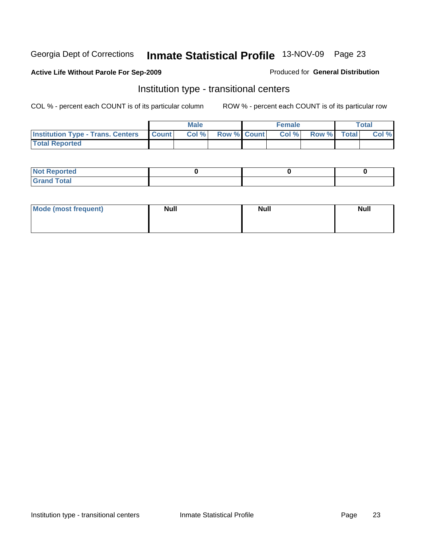#### **Active Life Without Parole For Sep-2009**

#### Produced for **General Distribution**

### Institution type - transitional centers

|                                                  | <b>Male</b>                       |                    | <b>Female</b> |             | <b>Total</b> |
|--------------------------------------------------|-----------------------------------|--------------------|---------------|-------------|--------------|
| <b>Institution Type - Trans. Centers Count  </b> | $  \mathsf{Col} \mathbin{{\%}}  $ | <b>Row % Count</b> | Col %         | Row % Total | Col %        |
| <b>Total Reported</b>                            |                                   |                    |               |             |              |

| Reported<br><b>NOT</b><br>$\cdots$ |  |  |
|------------------------------------|--|--|
| $f$ of all<br>$\sim$<br>-          |  |  |

| Mode (most frequent) | <b>Null</b> | <b>Null</b> | <b>Null</b> |
|----------------------|-------------|-------------|-------------|
|                      |             |             |             |
|                      |             |             |             |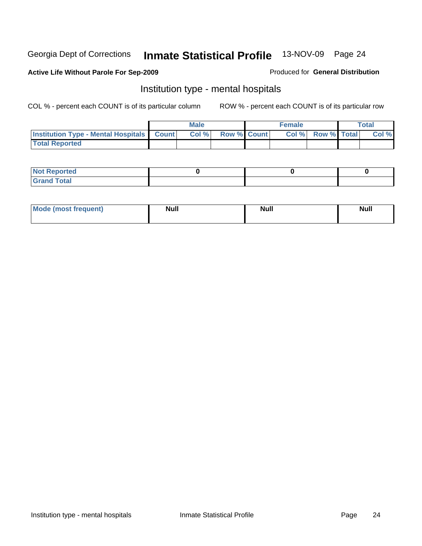#### **Active Life Without Parole For Sep-2009**

#### Produced for **General Distribution**

### Institution type - mental hospitals

|                                                  | Male  |                    | <b>Female</b> |                          | Total |
|--------------------------------------------------|-------|--------------------|---------------|--------------------------|-------|
| <b>Institution Type - Mental Hospitals Count</b> | Col % | <b>Row % Count</b> |               | <b>Col % Row % Total</b> | Col % |
| <b>Total Reported</b>                            |       |                    |               |                          |       |

| <b>Not Reported</b>        |  |  |
|----------------------------|--|--|
| <b>Total</b><br><b>Cro</b> |  |  |

| Mode (most frequent) | <b>Null</b> | <b>Null</b> | <b>Null</b> |
|----------------------|-------------|-------------|-------------|
|                      |             |             |             |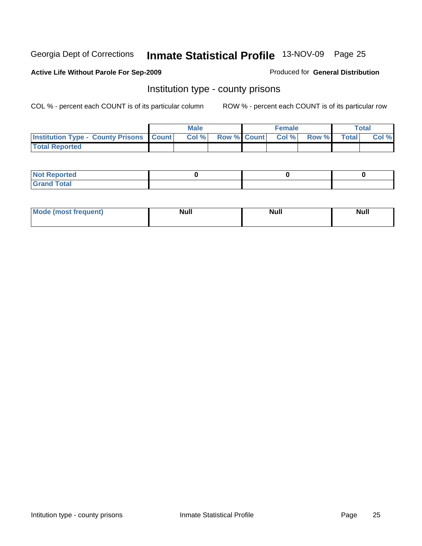#### **Active Life Without Parole For Sep-2009**

Produced for **General Distribution**

### Institution type - county prisons

|                                                    | <b>Male</b> |  | <b>Female</b>     |       |              | Total |
|----------------------------------------------------|-------------|--|-------------------|-------|--------------|-------|
| <b>Institution Type - County Prisons   Count  </b> | $CoI \%$    |  | Row % Count Col % | Row % | <b>Total</b> | Col % |
| <b>Total Reported</b>                              |             |  |                   |       |              |       |

| <b>Not</b><br><b>Reported</b>   |  |  |
|---------------------------------|--|--|
| <b>Total</b><br>Grand<br>$\sim$ |  |  |

| <b>Mode</b>     | <b>Null</b> | <b>Null</b> | <b>Null</b> |
|-----------------|-------------|-------------|-------------|
| (most frequent) |             |             |             |
|                 |             |             |             |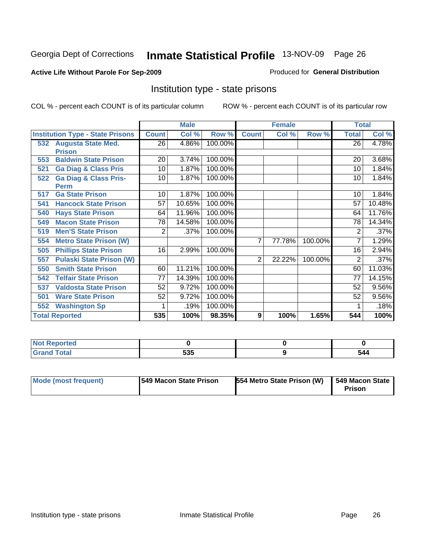#### **Active Life Without Parole For Sep-2009**

#### Produced for **General Distribution**

### Institution type - state prisons

|     |                                         |              | <b>Male</b> |         |              | <b>Female</b> |         | <b>Total</b>    |          |
|-----|-----------------------------------------|--------------|-------------|---------|--------------|---------------|---------|-----------------|----------|
|     | <b>Institution Type - State Prisons</b> | <b>Count</b> | Col %       | Row %   | <b>Count</b> | Col %         | Row %   | <b>Total</b>    | Col %    |
|     | 532 Augusta State Med.                  | 26           | 4.86%       | 100.00% |              |               |         | $\overline{26}$ | 4.78%    |
|     | <b>Prison</b>                           |              |             |         |              |               |         |                 |          |
| 553 | <b>Baldwin State Prison</b>             | 20           | 3.74%       | 100.00% |              |               |         | 20              | 3.68%    |
| 521 | <b>Ga Diag &amp; Class Pris</b>         | 10           | 1.87%       | 100.00% |              |               |         | 10              | 1.84%    |
| 522 | <b>Ga Diag &amp; Class Pris-</b>        | 10           | 1.87%       | 100.00% |              |               |         | 10              | 1.84%    |
|     | <b>Perm</b>                             |              |             |         |              |               |         |                 |          |
| 517 | <b>Ga State Prison</b>                  | 10           | 1.87%       | 100.00% |              |               |         | 10              | 1.84%    |
| 541 | <b>Hancock State Prison</b>             | 57           | 10.65%      | 100.00% |              |               |         | 57              | 10.48%   |
| 540 | <b>Hays State Prison</b>                | 64           | 11.96%      | 100.00% |              |               |         | 64              | 11.76%   |
| 549 | <b>Macon State Prison</b>               | 78           | 14.58%      | 100.00% |              |               |         | 78              | 14.34%   |
| 519 | <b>Men'S State Prison</b>               | 2            | .37%        | 100.00% |              |               |         | 2               | .37%     |
| 554 | <b>Metro State Prison (W)</b>           |              |             |         | 7            | 77.78%        | 100.00% | 7               | 1.29%    |
| 505 | <b>Phillips State Prison</b>            | 16           | 2.99%       | 100.00% |              |               |         | 16              | $2.94\%$ |
| 557 | <b>Pulaski State Prison (W)</b>         |              |             |         | 2            | 22.22%        | 100.00% | 2               | .37%     |
| 550 | <b>Smith State Prison</b>               | 60           | 11.21%      | 100.00% |              |               |         | 60              | 11.03%   |
| 542 | <b>Telfair State Prison</b>             | 77           | 14.39%      | 100.00% |              |               |         | 77              | 14.15%   |
| 537 | <b>Valdosta State Prison</b>            | 52           | 9.72%       | 100.00% |              |               |         | 52              | 9.56%    |
| 501 | <b>Ware State Prison</b>                | 52           | 9.72%       | 100.00% |              |               |         | 52              | $9.56\%$ |
| 552 | <b>Washington Sp</b>                    |              | .19%        | 100.00% |              |               |         |                 | .18%     |
|     | <b>Total Reported</b>                   | 535          | 100%        | 98.35%  | 9            | 100%          | 1.65%   | 544             | 100%     |

| <b>Not Reported</b> |            |     |
|---------------------|------------|-----|
| <b>Grand Total</b>  | こつに<br>ວວະ | 544 |

| Mode (most frequent)<br><b>549 Macon State Prison</b> | 554 Metro State Prison (W) | 549 Macon State<br><b>Prison</b> |
|-------------------------------------------------------|----------------------------|----------------------------------|
|-------------------------------------------------------|----------------------------|----------------------------------|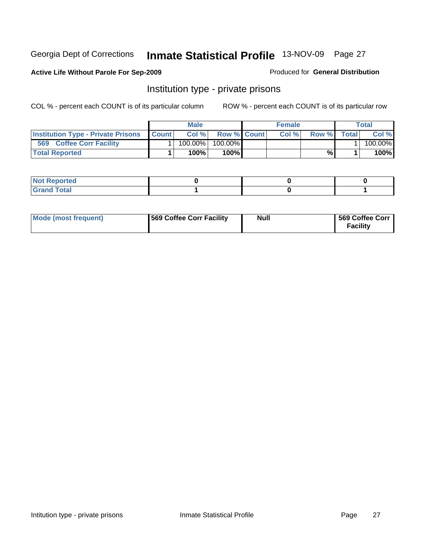#### **Active Life Without Parole For Sep-2009**

#### Produced for **General Distribution**

### Institution type - private prisons

|                                           |              | <b>Male</b> |                    | <b>Female</b> |       |              | Total      |
|-------------------------------------------|--------------|-------------|--------------------|---------------|-------|--------------|------------|
| <b>Institution Type - Private Prisons</b> | <b>Count</b> | Col %       | <b>Row % Count</b> | Col %         | Row % | <b>Total</b> | Col %      |
| 569<br><b>Coffee Corr Facility</b>        |              | $100.00\%$  | $100.00\%$         |               |       |              | $100.00\%$ |
| <b>Total Reported</b>                     |              | 100%        | 100%               |               | %     |              | 100%       |

| Not Reported       |  |  |
|--------------------|--|--|
| int<br>$\sim$<br>- |  |  |

| Mode (most frequent) | 569 Coffee Corr Facility | Null | 569 Coffee Corr<br><b>Facility</b> |
|----------------------|--------------------------|------|------------------------------------|
|----------------------|--------------------------|------|------------------------------------|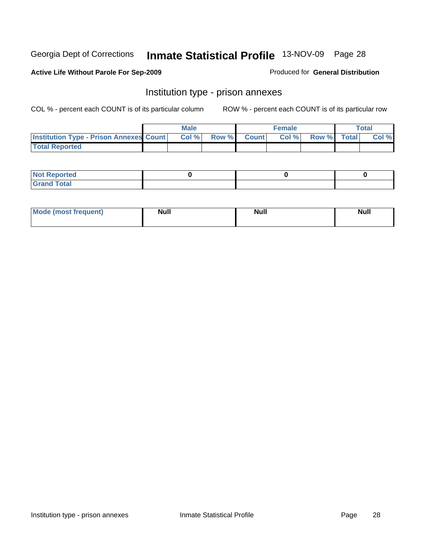#### **Active Life Without Parole For Sep-2009**

Produced for **General Distribution**

### Institution type - prison annexes

|                                                | <b>Male</b> |             | <b>Female</b> |             | <b>Total</b> |
|------------------------------------------------|-------------|-------------|---------------|-------------|--------------|
| <b>Institution Type - Prison Annexes Count</b> | Col %       | Row % Count | Col %         | Row % Total | Col %        |
| <b>Total Reported</b>                          |             |             |               |             |              |

| <b>Not Reported</b>        |  |  |
|----------------------------|--|--|
| <b>Grand Total</b><br>Gran |  |  |

| Mode (most frequent) | <b>Null</b> | <b>Null</b> | <b>Null</b> |
|----------------------|-------------|-------------|-------------|
|                      |             |             |             |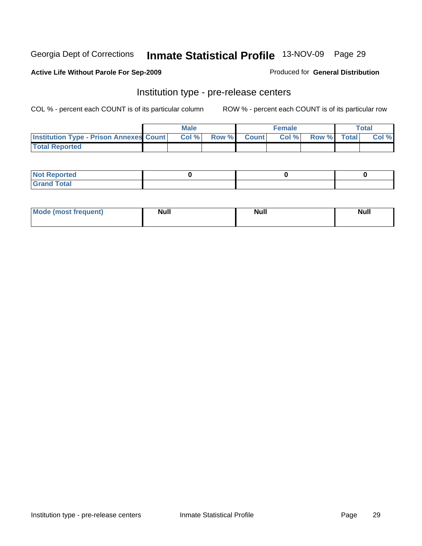#### **Active Life Without Parole For Sep-2009**

#### Produced for **General Distribution**

### Institution type - pre-release centers

|                                                  | <b>Male</b> |              |              | <b>Female</b> |             | Total |
|--------------------------------------------------|-------------|--------------|--------------|---------------|-------------|-------|
| <b>Institution Type - Prison Annexes Count  </b> | Col %       | <b>Row %</b> | <b>Count</b> | Col%          | Row % Total | Col % |
| <b>Total Reported</b>                            |             |              |              |               |             |       |

| $N$ nt<br><b>Reported</b>                |  |  |
|------------------------------------------|--|--|
| <b>Total</b><br>Gr2r<br>$\mathbf{v}$ and |  |  |

| Mode (most frequent) | <b>Null</b> | <b>Null</b> | <b>Null</b> |
|----------------------|-------------|-------------|-------------|
|                      |             |             |             |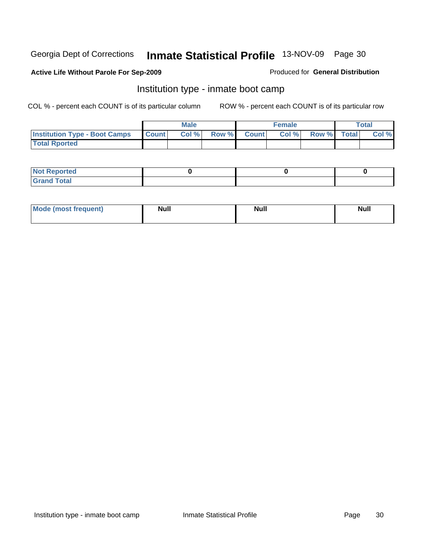#### **Active Life Without Parole For Sep-2009**

#### Produced for **General Distribution**

### Institution type - inmate boot camp

|                                      |                  | <b>Male</b> |              |              | <b>Female</b> |             | <b>Total</b> |
|--------------------------------------|------------------|-------------|--------------|--------------|---------------|-------------|--------------|
| <b>Institution Type - Boot Camps</b> | <b>I</b> Count I | Col %       | <b>Row %</b> | <b>Count</b> | Col %         | Row % Total | Col %        |
| <b>Total Rported</b>                 |                  |             |              |              |               |             |              |

| <b>Not Reported</b>  |  |  |
|----------------------|--|--|
| <b>Total</b><br>Gran |  |  |

| Mode (most frequent) | <b>Null</b> | <b>Null</b> | <b>Null</b> |
|----------------------|-------------|-------------|-------------|
|                      |             |             |             |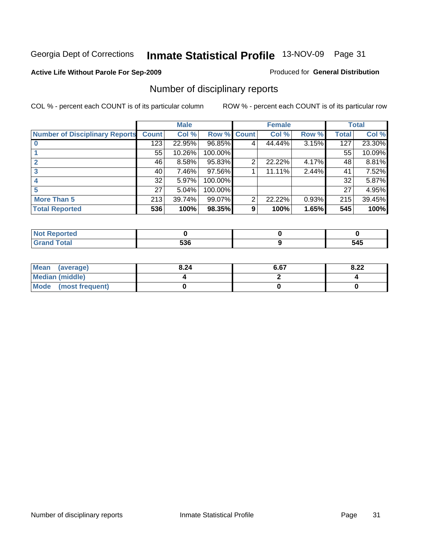#### **Active Life Without Parole For Sep-2009**

#### Produced for **General Distribution**

## Number of disciplinary reports

|                                       |              | <b>Male</b> |         |                | <b>Female</b> |       |              | <b>Total</b> |
|---------------------------------------|--------------|-------------|---------|----------------|---------------|-------|--------------|--------------|
| <b>Number of Disciplinary Reports</b> | <b>Count</b> | Col %       | Row %   | <b>Count</b>   | Col %         | Row % | <b>Total</b> | Col %        |
|                                       | 123          | 22.95%      | 96.85%  | 4              | 44.44%        | 3.15% | 127          | 23.30%       |
|                                       | 55           | 10.26%      | 100.00% |                |               |       | 55           | 10.09%       |
| $\mathbf{2}$                          | 46           | 8.58%       | 95.83%  | $\overline{2}$ | 22.22%        | 4.17% | 48           | 8.81%        |
|                                       | 40           | 7.46%       | 97.56%  |                | 11.11%        | 2.44% | 41           | 7.52%        |
|                                       | 32           | 5.97%       | 100.00% |                |               |       | 32           | 5.87%        |
| 5                                     | 27           | 5.04%       | 100.00% |                |               |       | 27           | 4.95%        |
| <b>More Than 5</b>                    | 213          | 39.74%      | 99.07%  | 2              | 22.22%        | 0.93% | 215          | 39.45%       |
| <b>Total Reported</b>                 | 536          | 100%        | 98.35%  | 9              | 100%          | 1.65% | 545          | 100%         |

| тет.<br>N |                            |                  |
|-----------|----------------------------|------------------|
|           | ro <i>r</i><br>טע<br>- - - | .<br>34J<br>$ -$ |

| Mean (average)       | 8.24 | 6.67 | 8.22 |
|----------------------|------|------|------|
| Median (middle)      |      |      |      |
| Mode (most frequent) |      |      |      |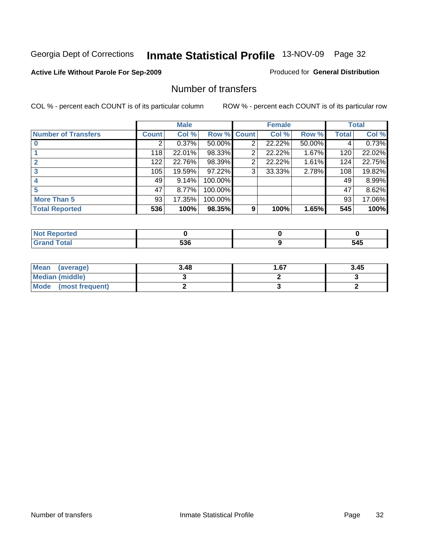#### **Active Life Without Parole For Sep-2009**

#### Produced for **General Distribution**

### Number of transfers

|                            |         | <b>Male</b> |         |              | <b>Female</b> |        |              | <b>Total</b> |
|----------------------------|---------|-------------|---------|--------------|---------------|--------|--------------|--------------|
| <b>Number of Transfers</b> | Count l | Col %       | Row %   | <b>Count</b> | Col %         | Row %  | <b>Total</b> | Col %        |
|                            | 2       | 0.37%       | 50.00%  | 2            | 22.22%        | 50.00% | 4            | 0.73%        |
|                            | 118     | 22.01%      | 98.33%  | 2            | 22.22%        | 1.67%  | 120          | 22.02%       |
| $\mathbf{2}$               | 122     | 22.76%      | 98.39%  | 2            | 22.22%        | 1.61%  | 124          | 22.75%       |
|                            | 105     | 19.59%      | 97.22%  | 3            | 33.33%        | 2.78%  | 108          | 19.82%       |
|                            | 49      | 9.14%       | 100.00% |              |               |        | 49           | 8.99%        |
|                            | 47      | 8.77%       | 100.00% |              |               |        | 47           | 8.62%        |
| <b>More Than 5</b>         | 93      | 17.35%      | 100.00% |              |               |        | 93           | 17.06%       |
| <b>Total Reported</b>      | 536     | 100%        | 98.35%  | 9            | 100%          | 1.65%  | 545          | 100%         |

| тео<br>N |             |             |
|----------|-------------|-------------|
|          | 536<br>$ -$ | 545<br>$ -$ |

| Mean (average)         | 3.48 | 67. ا | 3.45 |
|------------------------|------|-------|------|
| <b>Median (middle)</b> |      |       |      |
| Mode (most frequent)   |      |       |      |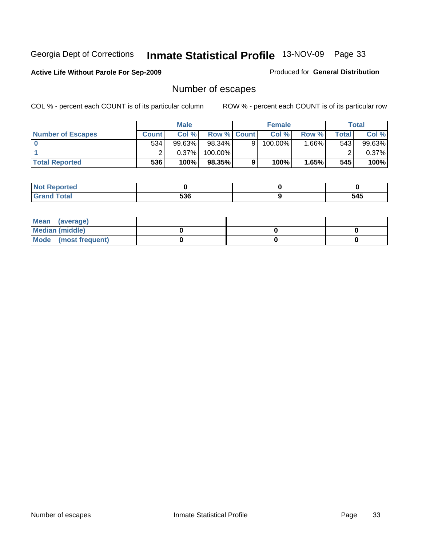#### **Active Life Without Parole For Sep-2009**

Produced for **General Distribution**

## Number of escapes

|                          |       | <b>Male</b> |                    |   | <b>Female</b> |        |       | <b>Total</b> |
|--------------------------|-------|-------------|--------------------|---|---------------|--------|-------|--------------|
| <b>Number of Escapes</b> | Count | Col%        | <b>Row % Count</b> |   | Col %         | Row %  | Total | Col %        |
|                          | 534   | 99.63%      | $98.34\%$          |   | 100.00%       | .66% I | 543   | 99.63%       |
|                          |       | 0.37%       | 100.00%            |   |               |        |       | $0.37\%$     |
| <b>Total Reported</b>    | 536   | 100%        | 98.35%             | 9 | 100%          | 1.65%  | 545   | 100%         |

| سائط الأمداد<br>neo |     |     |
|---------------------|-----|-----|
| Grand<br>υιαι       | 536 | 545 |

| Mean (average)       |  |  |
|----------------------|--|--|
| Median (middle)      |  |  |
| Mode (most frequent) |  |  |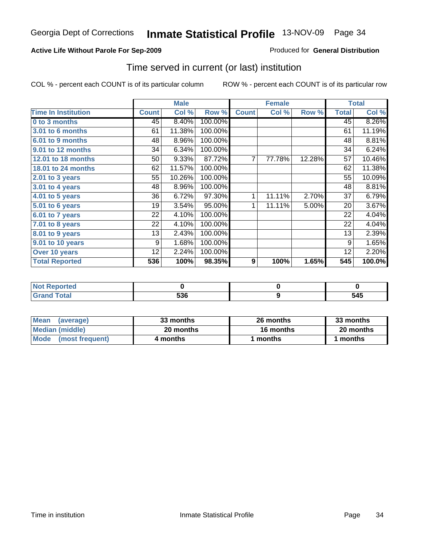#### **Active Life Without Parole For Sep-2009**

Produced for **General Distribution**

### Time served in current (or last) institution

|                              |              | <b>Male</b> |         |                | <b>Female</b> |        |              | <b>Total</b> |
|------------------------------|--------------|-------------|---------|----------------|---------------|--------|--------------|--------------|
| <b>Time In Institution</b>   | <b>Count</b> | Col %       | Row %   | <b>Count</b>   | Col %         | Row %  | <b>Total</b> | Col %        |
| 0 to 3 months                | 45           | 8.40%       | 100.00% |                |               |        | 45           | 8.26%        |
| 3.01 to 6 months             | 61           | 11.38%      | 100.00% |                |               |        | 61           | 11.19%       |
| 6.01 to 9 months             | 48           | 8.96%       | 100.00% |                |               |        | 48           | 8.81%        |
| 9.01 to 12 months            | 34           | 6.34%       | 100.00% |                |               |        | 34           | 6.24%        |
| 12.01 to 18 months           | 50           | 9.33%       | 87.72%  | $\overline{7}$ | 77.78%        | 12.28% | 57           | 10.46%       |
| <b>18.01 to 24 months</b>    | 62           | 11.57%      | 100.00% |                |               |        | 62           | 11.38%       |
| 2.01 to 3 years              | 55           | 10.26%      | 100.00% |                |               |        | 55           | 10.09%       |
| 3.01 to 4 years              | 48           | 8.96%       | 100.00% |                |               |        | 48           | 8.81%        |
| $\overline{4.01}$ to 5 years | 36           | 6.72%       | 97.30%  | 1              | 11.11%        | 2.70%  | 37           | 6.79%        |
| 5.01 to 6 years              | 19           | 3.54%       | 95.00%  | 1              | 11.11%        | 5.00%  | 20           | 3.67%        |
| 6.01 to 7 years              | 22           | 4.10%       | 100.00% |                |               |        | 22           | 4.04%        |
| 7.01 to 8 years              | 22           | 4.10%       | 100.00% |                |               |        | 22           | 4.04%        |
| 8.01 to 9 years              | 13           | 2.43%       | 100.00% |                |               |        | 13           | 2.39%        |
| 9.01 to 10 years             | 9            | 1.68%       | 100.00% |                |               |        | 9            | 1.65%        |
| Over 10 years                | 12           | 2.24%       | 100.00% |                |               |        | 12           | 2.20%        |
| <b>Total Reported</b>        | 536          | 100%        | 98.35%  | 9              | 100%          | 1.65%  | 545          | 100.0%       |

| <b>Not Reported</b> |            |     |
|---------------------|------------|-----|
| <b>Total</b>        | EOC<br>ววง | 545 |

| <b>Mean</b><br>(average)       | 33 months | 26 months        | 33 months |
|--------------------------------|-----------|------------------|-----------|
| Median (middle)                | 20 months | <b>16 months</b> | 20 months |
| <b>Mode</b><br>(most frequent) | 4 months  | l months         | months    |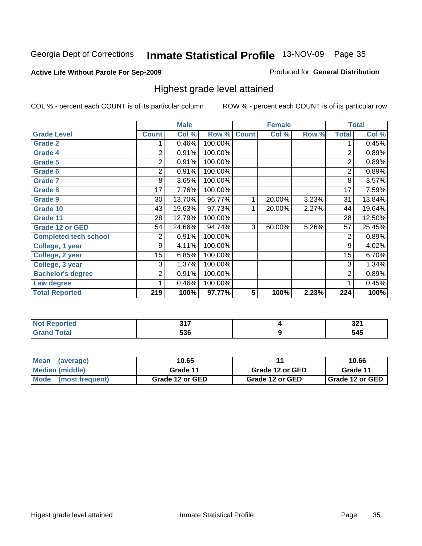#### **Active Life Without Parole For Sep-2009**

#### Produced for **General Distribution**

### Highest grade level attained

|                              |                | <b>Male</b> |         |              | <b>Female</b> |       |                | <b>Total</b> |
|------------------------------|----------------|-------------|---------|--------------|---------------|-------|----------------|--------------|
| <b>Grade Level</b>           | <b>Count</b>   | Col %       | Row %   | <b>Count</b> | Col %         | Row % | <b>Total</b>   | Col %        |
| <b>Grade 2</b>               |                | 0.46%       | 100.00% |              |               |       | 1              | 0.45%        |
| <b>Grade 4</b>               | 2              | 0.91%       | 100.00% |              |               |       | $\overline{2}$ | 0.89%        |
| <b>Grade 5</b>               | 2              | 0.91%       | 100.00% |              |               |       | $\overline{2}$ | 0.89%        |
| Grade 6                      | $\overline{c}$ | 0.91%       | 100.00% |              |               |       | $\overline{2}$ | 0.89%        |
| <b>Grade 7</b>               | 8              | 3.65%       | 100.00% |              |               |       | 8              | 3.57%        |
| <b>Grade 8</b>               | 17             | 7.76%       | 100.00% |              |               |       | 17             | 7.59%        |
| <b>Grade 9</b>               | 30             | 13.70%      | 96.77%  | 1            | 20.00%        | 3.23% | 31             | 13.84%       |
| Grade 10                     | 43             | 19.63%      | 97.73%  | 1            | 20.00%        | 2.27% | 44             | 19.64%       |
| Grade 11                     | 28             | 12.79%      | 100.00% |              |               |       | 28             | 12.50%       |
| <b>Grade 12 or GED</b>       | 54             | 24.66%      | 94.74%  | 3            | 60.00%        | 5.26% | 57             | 25.45%       |
| <b>Completed tech school</b> | 2              | 0.91%       | 100.00% |              |               |       | 2              | 0.89%        |
| College, 1 year              | 9              | 4.11%       | 100.00% |              |               |       | 9              | 4.02%        |
| College, 2 year              | 15             | 6.85%       | 100.00% |              |               |       | 15             | 6.70%        |
| College, 3 year              | 3              | 1.37%       | 100.00% |              |               |       | 3              | 1.34%        |
| <b>Bachelor's degree</b>     | 2              | 0.91%       | 100.00% |              |               |       | 2              | 0.89%        |
| Law degree                   |                | 0.46%       | 100.00% |              |               |       | 1              | 0.45%        |
| <b>Total Reported</b>        | 219            | 100%        | 97.77%  | 5            | 100%          | 2.23% | 224            | 100%         |

| $\bullet$ (a) $\bullet$ (e) $\bullet$ | 247         | ົ<br>JZ 1  |
|---------------------------------------|-------------|------------|
| $\sim$                                | EOC.<br>ooc | EAE<br>34J |

| <b>Mean</b><br>(average)  | 10.65           |                 | 10.66                    |
|---------------------------|-----------------|-----------------|--------------------------|
| Median (middle)           | Grade 11        | Grade 12 or GED | Grade 11                 |
| l Mode<br>(most frequent) | Grade 12 or GED | Grade 12 or GED | <b>I</b> Grade 12 or GED |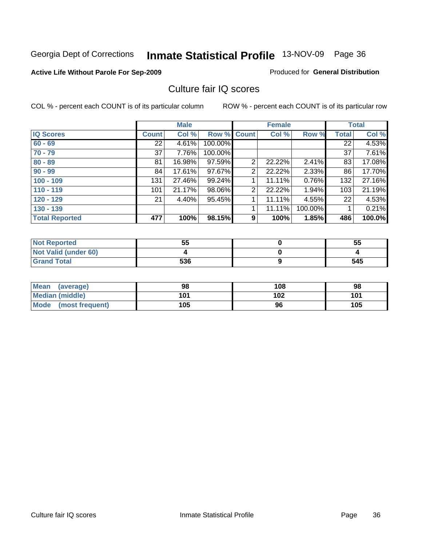#### **Active Life Without Parole For Sep-2009**

Produced for **General Distribution**

### Culture fair IQ scores

|                       |              | <b>Male</b> |             |   | <b>Female</b> |          |              | <b>Total</b> |
|-----------------------|--------------|-------------|-------------|---|---------------|----------|--------------|--------------|
| <b>IQ Scores</b>      | <b>Count</b> | Col %       | Row % Count |   | Col %         | Row %    | <b>Total</b> | Col %        |
| $60 - 69$             | 22           | 4.61%       | 100.00%     |   |               |          | 22           | 4.53%        |
| $70 - 79$             | 37           | 7.76%       | 100.00%     |   |               |          | 37           | 7.61%        |
| $80 - 89$             | 81           | 16.98%      | 97.59%      | 2 | 22.22%        | 2.41%    | 83           | 17.08%       |
| $90 - 99$             | 84           | 17.61%      | 97.67%      | 2 | 22.22%        | $2.33\%$ | 86           | 17.70%       |
| $100 - 109$           | 131          | 27.46%      | 99.24%      | 4 | 11.11%        | 0.76%    | 132          | 27.16%       |
| $110 - 119$           | 101          | 21.17%      | 98.06%      | 2 | 22.22%        | 1.94%    | 103          | 21.19%       |
| $120 - 129$           | 21           | 4.40%       | 95.45%      | 1 | 11.11%        | 4.55%    | 22           | 4.53%        |
| $130 - 139$           |              |             |             |   | 11.11%        | 100.00%  |              | 0.21%        |
| <b>Total Reported</b> | 477          | 100%        | 98.15%      | 9 | 100%          | 1.85%    | 486          | 100.0%       |

| <b>Not Reported</b>  | 55  | 55  |
|----------------------|-----|-----|
| Not Valid (under 60) |     |     |
| <b>Grand Total</b>   | 536 | 545 |

| <b>Mean</b><br>(average) | 98  | 108 | 98  |
|--------------------------|-----|-----|-----|
| <b>Median (middle)</b>   | 101 | 102 | 101 |
| Mode (most frequent)     | 105 | 96  | 105 |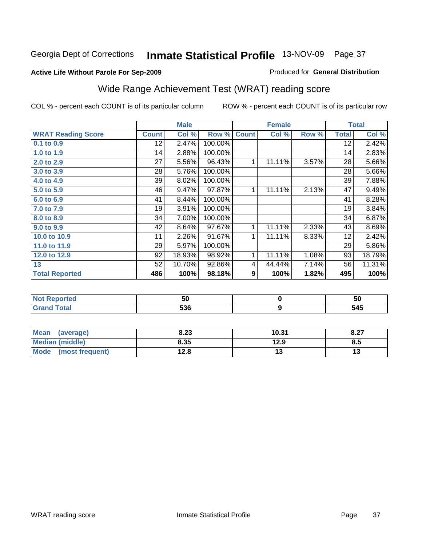### **Active Life Without Parole For Sep-2009**

#### Produced for **General Distribution**

# Wide Range Achievement Test (WRAT) reading score

|                           |                 | <b>Male</b> |         |              | <b>Female</b> |       |                 | <b>Total</b> |
|---------------------------|-----------------|-------------|---------|--------------|---------------|-------|-----------------|--------------|
| <b>WRAT Reading Score</b> | <b>Count</b>    | Col %       | Row %   | <b>Count</b> | Col %         | Row % | <b>Total</b>    | Col %        |
| $0.1$ to $0.9$            | $\overline{12}$ | 2.47%       | 100.00% |              |               |       | $\overline{12}$ | 2.42%        |
| 1.0 to 1.9                | 14              | 2.88%       | 100.00% |              |               |       | 14              | 2.83%        |
| 2.0 to 2.9                | 27              | 5.56%       | 96.43%  | 1            | 11.11%        | 3.57% | 28              | 5.66%        |
| 3.0 to 3.9                | 28              | 5.76%       | 100.00% |              |               |       | 28              | 5.66%        |
| 4.0 to 4.9                | 39              | 8.02%       | 100.00% |              |               |       | 39              | 7.88%        |
| 5.0 to 5.9                | 46              | 9.47%       | 97.87%  | 1            | 11.11%        | 2.13% | 47              | 9.49%        |
| 6.0 to 6.9                | 41              | 8.44%       | 100.00% |              |               |       | 41              | 8.28%        |
| 7.0 to 7.9                | 19              | 3.91%       | 100.00% |              |               |       | 19              | 3.84%        |
| 8.0 to 8.9                | 34              | 7.00%       | 100.00% |              |               |       | 34              | 6.87%        |
| 9.0 to 9.9                | 42              | 8.64%       | 97.67%  | 1            | 11.11%        | 2.33% | 43              | 8.69%        |
| 10.0 to 10.9              | 11              | 2.26%       | 91.67%  | 1            | 11.11%        | 8.33% | 12              | 2.42%        |
| 11.0 to 11.9              | 29              | 5.97%       | 100.00% |              |               |       | 29              | 5.86%        |
| 12.0 to 12.9              | 92              | 18.93%      | 98.92%  | 1            | 11.11%        | 1.08% | 93              | 18.79%       |
| 13                        | 52              | 10.70%      | 92.86%  | 4            | 44.44%        | 7.14% | 56              | 11.31%       |
| <b>Total Reported</b>     | 486             | 100%        | 98.18%  | 9            | 100%          | 1.82% | 495             | 100%         |

| <b>Not Reported</b> | 50  | 50  |
|---------------------|-----|-----|
| <b>Grand Total</b>  | 536 | 545 |

| <b>Mean</b><br>(average) | 8.23 | 10.31 | 8.27 |
|--------------------------|------|-------|------|
| <b>Median (middle)</b>   | 8.35 | 12.9  | ช.5  |
| Mode<br>(most frequent)  | 12.8 | ∪י    | ט ו  |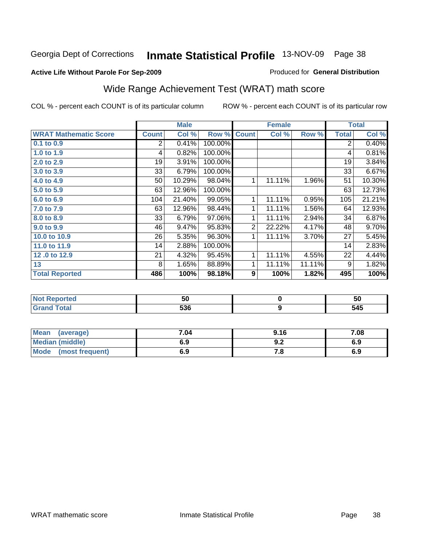#### **Active Life Without Parole For Sep-2009**

#### Produced for **General Distribution**

# Wide Range Achievement Test (WRAT) math score

|                              |              | <b>Male</b> |         |              | <b>Female</b> |        |              | <b>Total</b> |
|------------------------------|--------------|-------------|---------|--------------|---------------|--------|--------------|--------------|
| <b>WRAT Mathematic Score</b> | <b>Count</b> | Col %       | Row %   | <b>Count</b> | Col %         | Row %  | <b>Total</b> | Col %        |
| 0.1 to 0.9                   | 2            | 0.41%       | 100.00% |              |               |        | 2            | 0.40%        |
| 1.0 to 1.9                   | 4            | 0.82%       | 100.00% |              |               |        | 4            | 0.81%        |
| 2.0 to 2.9                   | 19           | 3.91%       | 100.00% |              |               |        | 19           | 3.84%        |
| 3.0 to 3.9                   | 33           | 6.79%       | 100.00% |              |               |        | 33           | 6.67%        |
| 4.0 to 4.9                   | 50           | 10.29%      | 98.04%  | 1            | 11.11%        | 1.96%  | 51           | 10.30%       |
| 5.0 to 5.9                   | 63           | 12.96%      | 100.00% |              |               |        | 63           | 12.73%       |
| 6.0 to 6.9                   | 104          | 21.40%      | 99.05%  | 1            | 11.11%        | 0.95%  | 105          | 21.21%       |
| 7.0 to 7.9                   | 63           | 12.96%      | 98.44%  | 1            | 11.11%        | 1.56%  | 64           | 12.93%       |
| 8.0 to 8.9                   | 33           | 6.79%       | 97.06%  | 1            | 11.11%        | 2.94%  | 34           | 6.87%        |
| 9.0 to 9.9                   | 46           | 9.47%       | 95.83%  | 2            | 22.22%        | 4.17%  | 48           | 9.70%        |
| 10.0 to 10.9                 | 26           | 5.35%       | 96.30%  | 1            | 11.11%        | 3.70%  | 27           | 5.45%        |
| 11.0 to 11.9                 | 14           | 2.88%       | 100.00% |              |               |        | 14           | 2.83%        |
| 12.0 to 12.9                 | 21           | 4.32%       | 95.45%  | 1            | 11.11%        | 4.55%  | 22           | 4.44%        |
| 13                           | 8            | 1.65%       | 88.89%  | 1            | 11.11%        | 11.11% | 9            | 1.82%        |
| <b>Total Reported</b>        | 486          | 100%        | 98.18%  | 9            | 100%          | 1.82%  | 495          | 100%         |
|                              |              |             |         |              |               |        |              |              |

| <b>Not Reported</b> | 50  | ้วน |
|---------------------|-----|-----|
| <b>Grand Total</b>  | 536 | 545 |

| <b>Mean</b><br>(average) | 7.04 | 9.16 | 7.08 |
|--------------------------|------|------|------|
| Median (middle)          | 6.9  | J.Z  | 6.9  |
| Mode<br>(most frequent)  | 6.9  | 7.O  | 6.9  |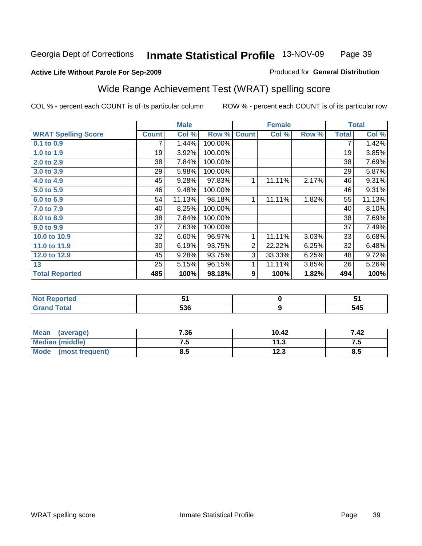**9**

# **Active Life Without Parole For Sep-2009**

Produced for **General Distribution**

# Wide Range Achievement Test (WRAT) spelling score

COL % - percent each COUNT is of its particular column ROW % - percent each COUNT is of its particular row

|                            |              | <b>Male</b> |         |                | <b>Female</b> |       |              | <b>Total</b> |
|----------------------------|--------------|-------------|---------|----------------|---------------|-------|--------------|--------------|
| <b>WRAT Spelling Score</b> | <b>Count</b> | Col %       | Row %   | <b>Count</b>   | Col %         | Row % | <b>Total</b> | Col %        |
| 0.1 to 0.9                 |              | 1.44%       | 100.00% |                |               |       | 7            | 1.42%        |
| 1.0 to 1.9                 | 19           | 3.92%       | 100.00% |                |               |       | 19           | 3.85%        |
| 2.0 to 2.9                 | 38           | 7.84%       | 100.00% |                |               |       | 38           | 7.69%        |
| 3.0 to 3.9                 | 29           | 5.98%       | 100.00% |                |               |       | 29           | 5.87%        |
| 4.0 to 4.9                 | 45           | 9.28%       | 97.83%  | 1              | 11.11%        | 2.17% | 46           | 9.31%        |
| 5.0 to 5.9                 | 46           | 9.48%       | 100.00% |                |               |       | 46           | 9.31%        |
| 6.0 to 6.9                 | 54           | 11.13%      | 98.18%  | 1              | 11.11%        | 1.82% | 55           | 11.13%       |
| 7.0 to 7.9                 | 40           | 8.25%       | 100.00% |                |               |       | 40           | 8.10%        |
| 8.0 to 8.9                 | 38           | 7.84%       | 100.00% |                |               |       | 38           | 7.69%        |
| 9.0 to 9.9                 | 37           | 7.63%       | 100.00% |                |               |       | 37           | 7.49%        |
| 10.0 to 10.9               | 32           | 6.60%       | 96.97%  | 1              | 11.11%        | 3.03% | 33           | 6.68%        |
| 11.0 to 11.9               | 30           | 6.19%       | 93.75%  | $\overline{2}$ | 22.22%        | 6.25% | 32           | 6.48%        |
| 12.0 to 12.9               | 45           | 9.28%       | 93.75%  | 3              | 33.33%        | 6.25% | 48           | 9.72%        |
| 13                         | 25           | 5.15%       | 96.15%  | 1              | 11.11%        | 3.85% | 26           | 5.26%        |
| <b>Total Reported</b>      | 485          | 100%        | 98.18%  | 9              | 100%          | 1.82% | 494          | 100%         |
|                            |              |             |         |                |               |       |              |              |
| <b>Not Reported</b>        |              | 51          |         |                | $\mathbf 0$   |       |              | 51           |

| Mean<br>(average)              | 7.36 | 10.42 | 7.42 |
|--------------------------------|------|-------|------|
| <b>Median (middle)</b>         | ن. ا | 11.3  |      |
| <b>Mode</b><br>(most frequent) | გ.ა  | 12.3  | ช.ว  |

 **536**

 **Grand Total**

 **545**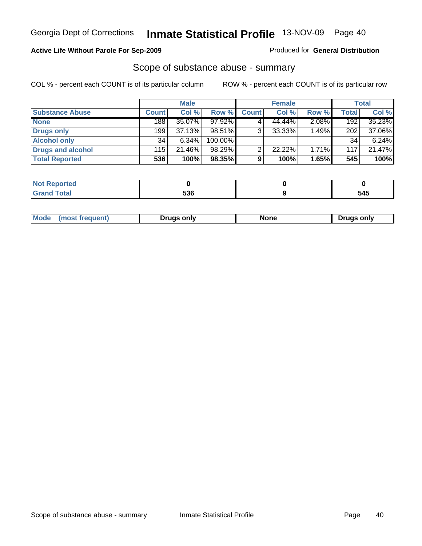#### **Active Life Without Parole For Sep-2009**

Produced for **General Distribution**

## Scope of substance abuse - summary

|                        |              | <b>Male</b> |            |              | <b>Female</b> |          |       | Total  |
|------------------------|--------------|-------------|------------|--------------|---------------|----------|-------|--------|
| <b>Substance Abuse</b> | <b>Count</b> | Col %       | Row %      | <b>Count</b> | Col %         | Row %    | Total | Col %  |
| <b>None</b>            | 188          | 35.07%      | 97.92%     |              | 44.44%        | 2.08%    | 192   | 35.23% |
| Drugs only             | 199          | 37.13%      | 98.51%     | 3            | $33.33\%$     | 1.49%    | 202   | 37.06% |
| <b>Alcohol only</b>    | 34           | $6.34\%$    | $100.00\%$ |              |               |          | 34    | 6.24%  |
| Drugs and alcohol      | 115          | 21.46%      | 98.29%     | ົ            | 22.22%        | $1.71\%$ | 117   | 21.47% |
| <b>Total Reported</b>  | 536          | 100%        | 98.35%     | 9            | 100%          | 1.65%    | 545   | 100%   |

| <b>Reported</b> |     |     |
|-----------------|-----|-----|
| <b>Total</b>    | 536 | 545 |

| епнерт. | Mode<br>most: | Druas onlv | .nnr | ')ruas onlv |
|---------|---------------|------------|------|-------------|
|---------|---------------|------------|------|-------------|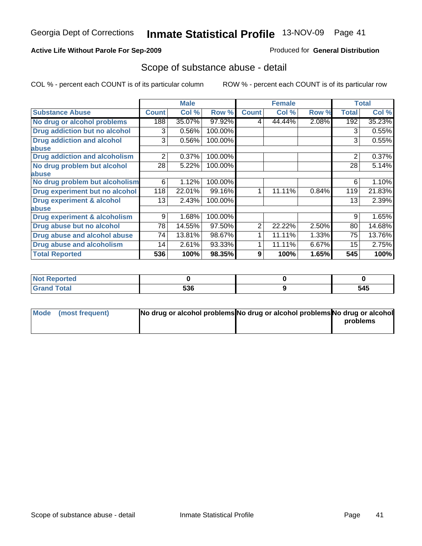#### **Active Life Without Parole For Sep-2009**

Produced for **General Distribution**

## Scope of substance abuse - detail

|                                         |              | <b>Male</b> |         |                | <b>Female</b> |       |                | <b>Total</b> |
|-----------------------------------------|--------------|-------------|---------|----------------|---------------|-------|----------------|--------------|
| <b>Substance Abuse</b>                  | <b>Count</b> | Col %       | Row %   | <b>Count</b>   | Col %         | Row % | <b>Total</b>   | Col %        |
| No drug or alcohol problems             | 188          | 35.07%      | 97.92%  | 4              | 44.44%        | 2.08% | 192            | 35.23%       |
| Drug addiction but no alcohol           | 3            | 0.56%       | 100.00% |                |               |       | 3              | 0.55%        |
| <b>Drug addiction and alcohol</b>       | 3            | 0.56%       | 100.00% |                |               |       | 3              | 0.55%        |
| abuse                                   |              |             |         |                |               |       |                |              |
| <b>Drug addiction and alcoholism</b>    | 2            | 0.37%       | 100.00% |                |               |       | $\overline{2}$ | 0.37%        |
| No drug problem but alcohol             | 28           | 5.22%       | 100.00% |                |               |       | 28             | 5.14%        |
| abuse                                   |              |             |         |                |               |       |                |              |
| No drug problem but alcoholism          | 6            | 1.12%       | 100.00% |                |               |       | 6              | 1.10%        |
| Drug experiment but no alcohol          | 118          | 22.01%      | 99.16%  | 1              | 11.11%        | 0.84% | 119            | 21.83%       |
| <b>Drug experiment &amp; alcohol</b>    | 13           | 2.43%       | 100.00% |                |               |       | 13             | 2.39%        |
| abuse                                   |              |             |         |                |               |       |                |              |
| <b>Drug experiment &amp; alcoholism</b> | 9            | 1.68%       | 100.00% |                |               |       | 9              | 1.65%        |
| Drug abuse but no alcohol               | 78           | 14.55%      | 97.50%  | $\overline{2}$ | 22.22%        | 2.50% | 80             | 14.68%       |
| Drug abuse and alcohol abuse            | 74           | 13.81%      | 98.67%  |                | 11.11%        | 1.33% | 75             | 13.76%       |
| <b>Drug abuse and alcoholism</b>        | 14           | 2.61%       | 93.33%  |                | 11.11%        | 6.67% | 15             | 2.75%        |
| <b>Total Reported</b>                   | 536          | 100%        | 98.35%  | 9              | 100%          | 1.65% | 545            | 100%         |

| rtea<br>. |            |     |
|-----------|------------|-----|
| $\sim$ 40 | につに<br>ววบ | 545 |

| Mode (most frequent) | No drug or alcohol problems No drug or alcohol problems No drug or alcohol |          |
|----------------------|----------------------------------------------------------------------------|----------|
|                      |                                                                            | problems |
|                      |                                                                            |          |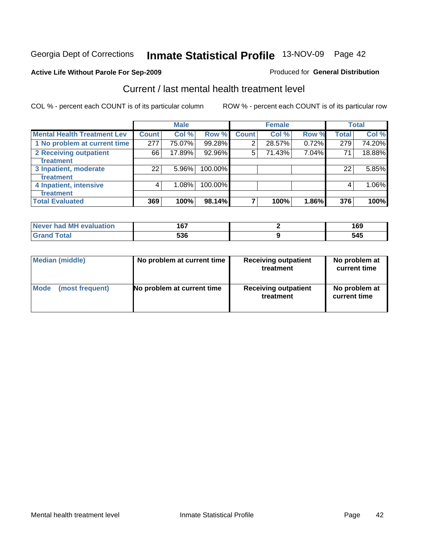### **Active Life Without Parole For Sep-2009**

#### Produced for **General Distribution**

# Current / last mental health treatment level

|                                    |              | <b>Male</b> |         |              | <b>Female</b> |       |              | <b>Total</b> |
|------------------------------------|--------------|-------------|---------|--------------|---------------|-------|--------------|--------------|
| <b>Mental Health Treatment Lev</b> | <b>Count</b> | Col %       | Row %   | <b>Count</b> | Col%          | Row % | <b>Total</b> | Col %        |
| 1 No problem at current time       | 277          | 75.07%      | 99.28%  | 2            | 28.57%        | 0.72% | 279          | 74.20%       |
| <b>2 Receiving outpatient</b>      | 66           | 17.89%      | 92.96%  | 5            | 71.43%        | 7.04% | 71           | 18.88%       |
| treatment                          |              |             |         |              |               |       |              |              |
| 3 Inpatient, moderate              | 22           | 5.96%       | 100.00% |              |               |       | 22           | 5.85%        |
| <b>Treatment</b>                   |              |             |         |              |               |       |              |              |
| 4 Inpatient, intensive             | 4            | 1.08%       | 100.00% |              |               |       |              | 1.06%        |
| treatment                          |              |             |         |              |               |       |              |              |
| <b>Total Evaluated</b>             | 369          | 100%        | 98.14%  |              | 100%          | 1.86% | 376          | 100%         |

| Never had MH evaluation | ר ה | ה ה<br>כט ו |
|-------------------------|-----|-------------|
| <b>Total</b>            | 536 | 545         |

| <b>Median (middle)</b> | No problem at current time | <b>Receiving outpatient</b><br>treatment | No problem at<br>current time |  |  |
|------------------------|----------------------------|------------------------------------------|-------------------------------|--|--|
| <b>Mode</b>            | No problem at current time | <b>Receiving outpatient</b>              | No problem at                 |  |  |
| (most frequent)        |                            | treatment                                | current time                  |  |  |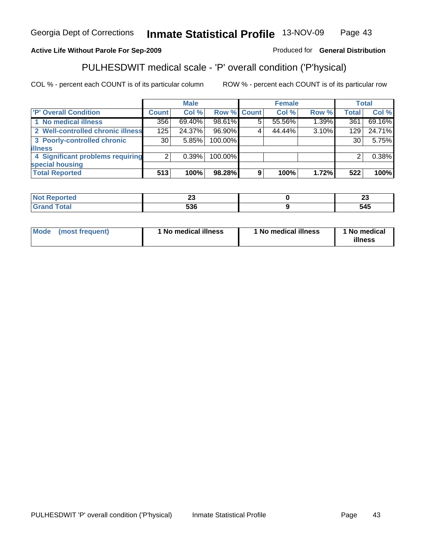|                                   |              | <b>Male</b> |                    |   | <b>Female</b> |       |              | <b>Total</b> |
|-----------------------------------|--------------|-------------|--------------------|---|---------------|-------|--------------|--------------|
| 'P' Overall Condition             | <b>Count</b> | Col %       | <b>Row % Count</b> |   | Col %         | Row % | <b>Total</b> | Col %        |
| 1 No medical illness              | 356          | 69.40%      | 98.61%             |   | 55.56%        | 1.39% | 361          | 69.16%       |
| 2 Well-controlled chronic illness | 125          | 24.37%      | 96.90%             |   | 44.44%        | 3.10% | 129          | 24.71%       |
| 3 Poorly-controlled chronic       | 30           | 5.85%       | 100.00%            |   |               |       | 30           | 5.75%        |
| <b>illness</b>                    |              |             |                    |   |               |       |              |              |
| 4 Significant problems requiring  | 2            | $0.39\%$    | 100.00%            |   |               |       | ົ            | 0.38%        |
| special housing                   |              |             |                    |   |               |       |              |              |
| <b>Total Reported</b>             | 513          | 100%        | 98.28%             | 9 | 100%          | 1.72% | 522          | 100%         |

PULHESDWIT medical scale - 'P' overall condition ('P'hysical)

COL % - percent each COUNT is of its particular column ROW % - percent each COUNT is of its particular row

| <b>Reported</b>                  | $\sim$     | $\overline{\phantom{a}}$ |
|----------------------------------|------------|--------------------------|
| NOT                              | ~~         | <u>r</u>                 |
| <b>Total</b><br>$\mathbf{v}$ and | -^^<br>ാാം | 545                      |

| Mode | (most frequent) | 1 No medical illness | 1 No medical illness | <b>No medical</b><br>illness |
|------|-----------------|----------------------|----------------------|------------------------------|
|------|-----------------|----------------------|----------------------|------------------------------|

Produced for **General Distribution**

#### Georgia Dept of Corrections **Inmate Statistical Profile** 13-NOV-09 Page 43

#### **Active Life Without Parole For Sep-2009**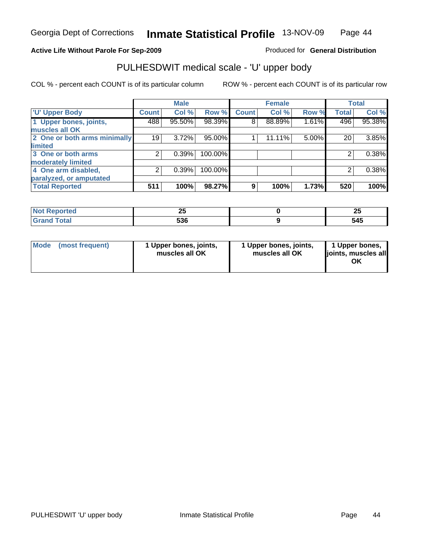#### **Active Life Without Parole For Sep-2009**

Produced for **General Distribution**

# PULHESDWIT medical scale - 'U' upper body

|                              |                 | <b>Male</b> |         |              | <b>Female</b> |       |              | <b>Total</b> |
|------------------------------|-----------------|-------------|---------|--------------|---------------|-------|--------------|--------------|
| <b>U' Upper Body</b>         | <b>Count</b>    | Col %       | Row %   | <b>Count</b> | Col %         | Row % | <b>Total</b> | Col %        |
| 1 Upper bones, joints,       | 488             | 95.50%      | 98.39%  | 8            | 88.89%        | 1.61% | 496          | 95.38%       |
| muscles all OK               |                 |             |         |              |               |       |              |              |
| 2 One or both arms minimally | 19 <sub>1</sub> | 3.72%       | 95.00%  |              | $11.11\%$     | 5.00% | 20           | 3.85%        |
| limited                      |                 |             |         |              |               |       |              |              |
| 3 One or both arms           | 2               | 0.39%       | 100.00% |              |               |       | 2            | 0.38%        |
| moderately limited           |                 |             |         |              |               |       |              |              |
| 4 One arm disabled,          | 2               | 0.39%       | 100.00% |              |               |       | 2            | 0.38%        |
| paralyzed, or amputated      |                 |             |         |              |               |       |              |              |
| <b>Total Reported</b>        | 511             | 100%        | 98.27%  | 9            | 100%          | 1.73% | 520          | 100%         |

| <b>Not Reported</b> | חח<br>2 J<br>__ | $\mathbf{a}$<br>$\overline{\phantom{a}}$ |
|---------------------|-----------------|------------------------------------------|
| Total<br>Grand      | 536             | 545                                      |

| Mode<br>1 Upper bones, joints,<br>(most frequent)<br>muscles all OK | 1 Upper bones, joints,<br>muscles all OK | 1 Upper bones,<br>joints, muscles all<br>OK |
|---------------------------------------------------------------------|------------------------------------------|---------------------------------------------|
|---------------------------------------------------------------------|------------------------------------------|---------------------------------------------|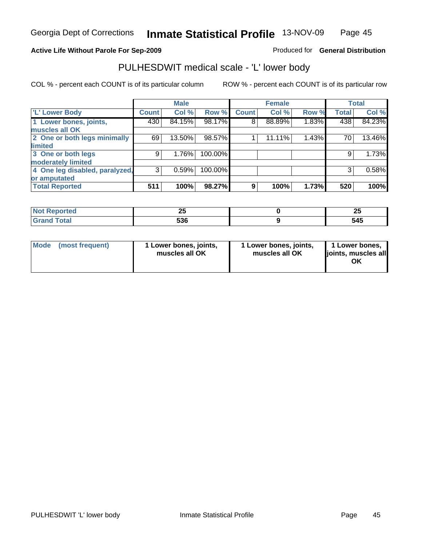#### **Active Life Without Parole For Sep-2009**

Produced for **General Distribution**

# PULHESDWIT medical scale - 'L' lower body

|                                |                    | <b>Male</b> |         |              | <b>Female</b> |       |              | <b>Total</b> |
|--------------------------------|--------------------|-------------|---------|--------------|---------------|-------|--------------|--------------|
| 'L' Lower Body                 | Count <sup>1</sup> | Col %       | Row %   | <b>Count</b> | Col %         | Row % | <b>Total</b> | Col %        |
| 1 Lower bones, joints,         | 430                | 84.15%      | 98.17%  | 8            | 88.89%        | 1.83% | 438          | 84.23%       |
| muscles all OK                 |                    |             |         |              |               |       |              |              |
| 2 One or both legs minimally   | 69                 | 13.50%      | 98.57%  |              | 11.11%        | 1.43% | 70           | 13.46%       |
| limited                        |                    |             |         |              |               |       |              |              |
| 3 One or both legs             | 9                  | 1.76%       | 100.00% |              |               |       | 9            | 1.73%        |
| moderately limited             |                    |             |         |              |               |       |              |              |
| 4 One leg disabled, paralyzed, | 3                  | 0.59%       | 100.00% |              |               |       | 3            | 0.58%        |
| or amputated                   |                    |             |         |              |               |       |              |              |
| <b>Total Reported</b>          | 511                | 100%        | 98.27%  | 9            | 100%          | 1.73% | 520          | 100%         |

| <b>Not Reported</b> | חח<br>2 J<br>__ | $\mathbf{a}$<br>$\overline{\phantom{a}}$ |
|---------------------|-----------------|------------------------------------------|
| Total<br>Grand      | 536             | 545                                      |

| Mode<br>1 Lower bones, joints,<br>(most frequent)<br>muscles all OK | 1 Lower bones, joints,<br>muscles all OK | 1 Lower bones,<br>joints, muscles all<br>ОK |
|---------------------------------------------------------------------|------------------------------------------|---------------------------------------------|
|---------------------------------------------------------------------|------------------------------------------|---------------------------------------------|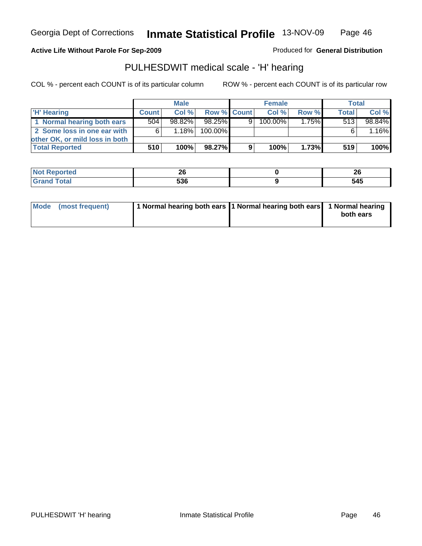**Active Life Without Parole For Sep-2009**

Produced for **General Distribution**

## PULHESDWIT medical scale - 'H' hearing

|                                | <b>Male</b>  |        |             | <b>Female</b> |            |          | <b>Total</b> |        |
|--------------------------------|--------------|--------|-------------|---------------|------------|----------|--------------|--------|
| 'H' Hearing                    | <b>Count</b> | Col %  | Row % Count |               | Col%       | Row %    | <b>Total</b> | Col %  |
| 1 Normal hearing both ears     | 504          | 98.82% | 98.25%      | 91            | $100.00\%$ | $1.75\%$ | 513          | 98.84% |
| 2 Some loss in one ear with    | 6            | 1.18%  | 100.00%     |               |            |          |              | 1.16%  |
| other OK, or mild loss in both |              |        |             |               |            |          |              |        |
| <b>Total Reported</b>          | 510          | 100%   | 98.27%      | 9             | 100%       | 1.73%    | 519          | 100%   |

| <b>ALC</b> | n,                       | 01  |
|------------|--------------------------|-----|
| ruao       | $\overline{\phantom{a}}$ | ΔV  |
|            | <b>FOC</b><br>536        | 545 |

| Mode (most frequent) | 1 Normal hearing both ears 11 Normal hearing both ears 1 Normal hearing | both ears |
|----------------------|-------------------------------------------------------------------------|-----------|
|                      |                                                                         |           |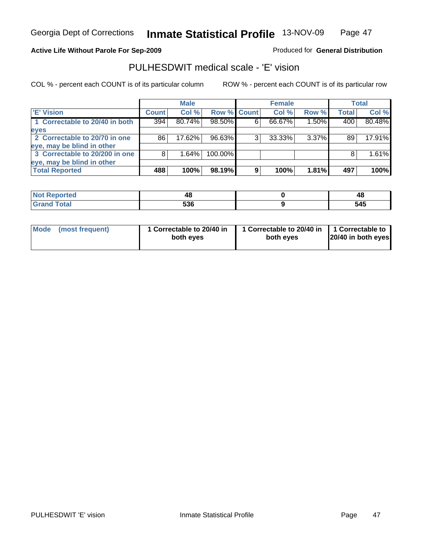#### **Active Life Without Parole For Sep-2009**

Produced for **General Distribution**

## PULHESDWIT medical scale - 'E' vision

|                                |       | <b>Male</b> |             |   | <b>Female</b> |          |              | Total  |
|--------------------------------|-------|-------------|-------------|---|---------------|----------|--------------|--------|
| <b>E' Vision</b>               | Count | Col %       | Row % Count |   | Col %         | Row %    | <b>Total</b> | Col %  |
| 1 Correctable to 20/40 in both | 394   | 80.74%      | 98.50%      | 6 | 66.67%        | 1.50%    | 400          | 80.48% |
| eyes                           |       |             |             |   |               |          |              |        |
| 2 Correctable to 20/70 in one  | 86    | 17.62%      | 96.63%      |   | 33.33%        | $3.37\%$ | 89           | 17.91% |
| eye, may be blind in other     |       |             |             |   |               |          |              |        |
| 3 Correctable to 20/200 in one |       | $1.64\%$    | 100.00%     |   |               |          | 8            | 1.61%  |
| eye, may be blind in other     |       |             |             |   |               |          |              |        |
| <b>Total Reported</b>          | 488   | 100%        | 98.19%      | 9 | 100%          | 1.81%    | 497          | 100%   |

| ιеα                         | 46  | 48    |
|-----------------------------|-----|-------|
| $\sim$ 40                   | rae | - - - |
| $\sim$ $\sim$ $\sim$ $\sim$ | JJu | 34J   |

| Mode (most frequent) | 1 Correctable to 20/40 in<br>both eyes | 1 Correctable to 20/40 in   1 Correctable to<br>both eves | 20/40 in both eyes |
|----------------------|----------------------------------------|-----------------------------------------------------------|--------------------|
|----------------------|----------------------------------------|-----------------------------------------------------------|--------------------|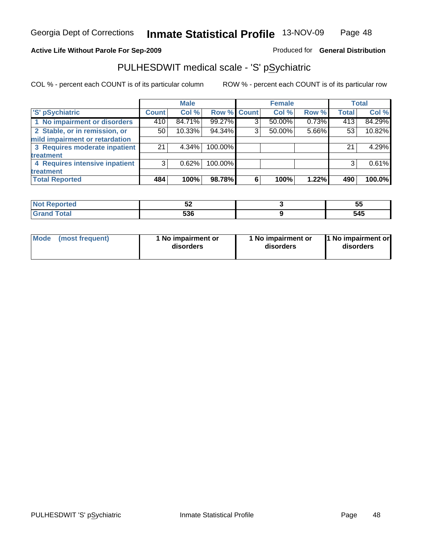#### **Active Life Without Parole For Sep-2009**

Produced for **General Distribution**

# PULHESDWIT medical scale - 'S' pSychiatric

|                                |              | <b>Male</b> |             |   | <b>Female</b> |       |              | <b>Total</b> |
|--------------------------------|--------------|-------------|-------------|---|---------------|-------|--------------|--------------|
| 'S' pSychiatric                | <b>Count</b> | Col %       | Row % Count |   | Col %         | Row % | <b>Total</b> | Col %        |
| 1 No impairment or disorders   | 410          | 84.71%      | 99.27%      | 3 | 50.00%        | 0.73% | 413          | 84.29%       |
| 2 Stable, or in remission, or  | 50           | 10.33%      | 94.34%      | 3 | 50.00%        | 5.66% | 53           | 10.82%       |
| mild impairment or retardation |              |             |             |   |               |       |              |              |
| 3 Requires moderate inpatient  | 21           | $4.34\%$    | 100.00%     |   |               |       | 21           | 4.29%        |
| treatment                      |              |             |             |   |               |       |              |              |
| 4 Requires intensive inpatient | 3            | 0.62%       | 100.00%     |   |               |       |              | 0.61%        |
| treatment                      |              |             |             |   |               |       |              |              |
| <b>Total Reported</b>          | 484          | 100%        | 98.78%      | 6 | 100%          | 1.22% | 490          | 100.0%       |

| тео   | IJΔ         | --<br>יי<br>ູບບ |
|-------|-------------|-----------------|
| `otal | - 20<br>JUU | 545             |

| Mode            | 1 No impairment or | 1 No impairment or | 1 No impairment or |
|-----------------|--------------------|--------------------|--------------------|
| (most frequent) | disorders          | disorders          | disorders          |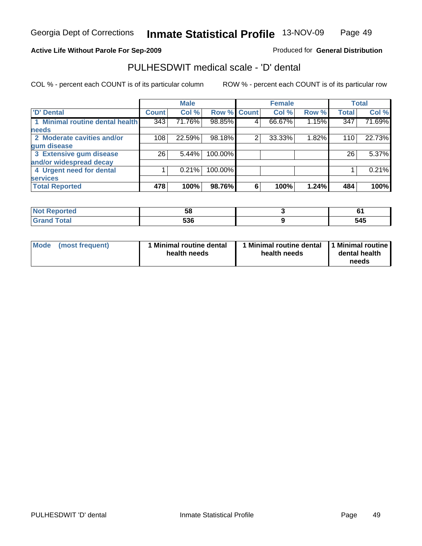#### **Active Life Without Parole For Sep-2009**

Produced for **General Distribution**

## PULHESDWIT medical scale - 'D' dental

|                                 |              | <b>Male</b> |                    |   | <b>Female</b> |       |                  | <b>Total</b> |
|---------------------------------|--------------|-------------|--------------------|---|---------------|-------|------------------|--------------|
| 'D' Dental                      | <b>Count</b> | Col %       | <b>Row % Count</b> |   | Col %         | Row % | <b>Total</b>     | Col %        |
| 1 Minimal routine dental health | 343          | 71.76%      | 98.85%             | 4 | 66.67%        | 1.15% | $\overline{347}$ | 71.69%       |
| <b>needs</b>                    |              |             |                    |   |               |       |                  |              |
| 2 Moderate cavities and/or      | 108          | 22.59%      | 98.18%             | 2 | 33.33%        | 1.82% | 110              | 22.73%       |
| gum disease                     |              |             |                    |   |               |       |                  |              |
| 3 Extensive gum disease         | 26           | 5.44%       | 100.00%            |   |               |       | 26               | 5.37%        |
| and/or widespread decay         |              |             |                    |   |               |       |                  |              |
| 4 Urgent need for dental        |              | 0.21%       | 100.00%            |   |               |       |                  | 0.21%        |
| <b>services</b>                 |              |             |                    |   |               |       |                  |              |
| <b>Total Reported</b>           | 478          | 100%        | 98.76%             | 6 | 100%          | 1.24% | 484              | 100%         |

| <b><i>CALLADO</i></b><br><b>The committee of the Committee</b><br>prtea | ວດ          |              |
|-------------------------------------------------------------------------|-------------|--------------|
| $T0+0'$<br>Cron<br>υιαι                                                 | ra c<br>ು೦೬ | C A C<br>O40 |

| Mode<br>(most frequent) | <b>Minimal routine dental</b><br>health needs | 1 Minimal routine dental<br>health needs | <b>Minimal routine</b><br>dental health<br>needs |
|-------------------------|-----------------------------------------------|------------------------------------------|--------------------------------------------------|
|-------------------------|-----------------------------------------------|------------------------------------------|--------------------------------------------------|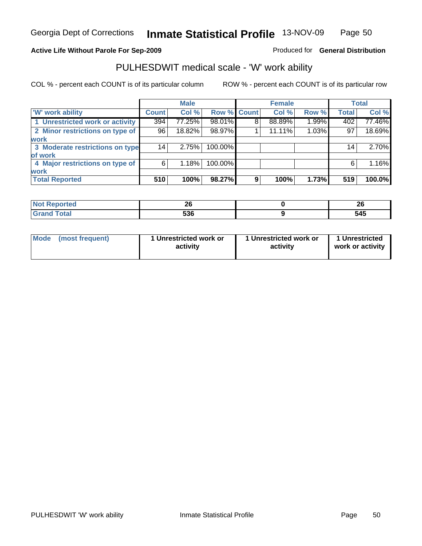#### **Active Life Without Parole For Sep-2009**

Produced for **General Distribution**

## PULHESDWIT medical scale - 'W' work ability

|                                 |              | <b>Male</b> |             |   | <b>Female</b> |       |                 | <b>Total</b> |
|---------------------------------|--------------|-------------|-------------|---|---------------|-------|-----------------|--------------|
| <b>W' work ability</b>          | <b>Count</b> | Col %       | Row % Count |   | Col %         | Row % | <b>Total</b>    | Col %        |
| 1 Unrestricted work or activity | 394          | 77.25%      | 98.01%      | 8 | 88.89%        | 1.99% | 402             | 77.46%       |
| 2 Minor restrictions on type of | 96           | 18.82%      | 98.97%      |   | 11.11%        | 1.03% | 97              | 18.69%       |
| <b>work</b>                     |              |             |             |   |               |       |                 |              |
| 3 Moderate restrictions on type | 14           | 2.75%       | 100.00%     |   |               |       | 14 <sub>1</sub> | 2.70%        |
| of work                         |              |             |             |   |               |       |                 |              |
| 4 Major restrictions on type of | 6            | 1.18%       | 100.00%     |   |               |       | 6               | 1.16%        |
| <b>work</b>                     |              |             |             |   |               |       |                 |              |
| <b>Total Reported</b>           | 510          | 100%        | 98.27%      | 9 | 100%          | 1.73% | 519             | 100.0%       |

| као          | oc.<br>Zu  | oc.<br>ZU |
|--------------|------------|-----------|
| <b>UIUIU</b> | rae<br>536 | 545       |

| Mode            | 1 Unrestricted work or | 1 Unrestricted work or | 1 Unrestricted   |
|-----------------|------------------------|------------------------|------------------|
| (most frequent) | activity               | activity               | work or activity |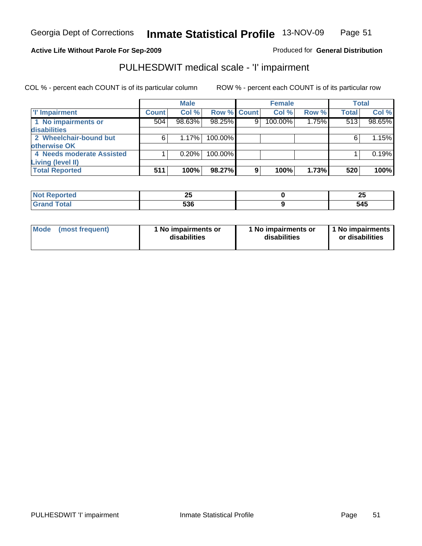#### **Active Life Without Parole For Sep-2009**

Produced for **General Distribution**

# PULHESDWIT medical scale - 'I' impairment

|                           |              | <b>Male</b> |             |   | <b>Female</b> |       |              | <b>Total</b> |
|---------------------------|--------------|-------------|-------------|---|---------------|-------|--------------|--------------|
| <b>T' Impairment</b>      | <b>Count</b> | Col %       | Row % Count |   | Col %         | Row % | <b>Total</b> | Col %        |
| 1 No impairments or       | 504          | 98.63%      | 98.25%      | 9 | 100.00%       | 1.75% | 513          | 98.65%       |
| disabilities              |              |             |             |   |               |       |              |              |
| 2 Wheelchair-bound but    |              | 1.17%       | 100.00%     |   |               |       |              | 1.15%        |
| otherwise OK              |              |             |             |   |               |       |              |              |
| 4 Needs moderate Assisted |              | 0.20%       | 100.00%     |   |               |       |              | 0.19%        |
| Living (level II)         |              |             |             |   |               |       |              |              |
| <b>Total Reported</b>     | 511          | 100%        | 98.27%      | 9 | 100%          | 1.73% | 520          | 100%         |

| onteo | . .<br>$\overline{\phantom{a}}$ | - -<br>∠J |
|-------|---------------------------------|-----------|
|       | ra c<br>ჂჂႩ                     | - -       |

| Mode            | 1 No impairments or | 1 No impairments or | 1 No impairments |
|-----------------|---------------------|---------------------|------------------|
| (most frequent) | disabilities        | disabilities        | or disabilities  |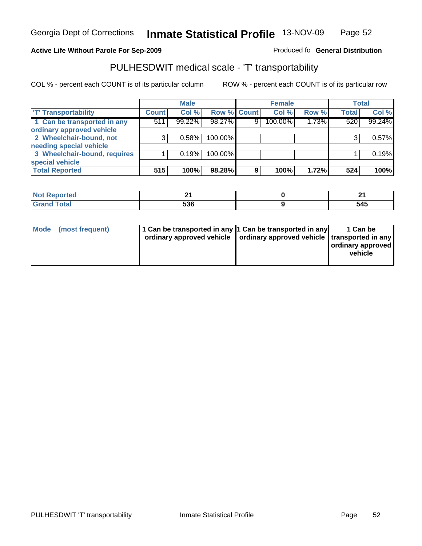**Inmate Statistical Profile** 13-NOV-09 Page Page 52

#### Active Life Without Parole For Sep-2009 **Produced fo General Distribution**

# PULHESDWIT medical scale - 'T' transportability

|                              |              | <b>Male</b> |             |   | <b>Female</b> |       |              | <b>Total</b> |
|------------------------------|--------------|-------------|-------------|---|---------------|-------|--------------|--------------|
| <b>T' Transportability</b>   | <b>Count</b> | Col %       | Row % Count |   | Col %         | Row % | <b>Total</b> | Col %        |
| 1 Can be transported in any  | 511          | 99.22%      | 98.27%      | 9 | 100.00%       | 1.73% | 520          | 99.24%       |
| ordinary approved vehicle    |              |             |             |   |               |       |              |              |
| 2 Wheelchair-bound, not      | 3            | 0.58%       | 100.00%     |   |               |       |              | 0.57%        |
| needing special vehicle      |              |             |             |   |               |       |              |              |
| 3 Wheelchair-bound, requires |              | 0.19%       | 100.00%     |   |               |       |              | 0.19%        |
| special vehicle              |              |             |             |   |               |       |              |              |
| <b>Total Reported</b>        | 515          | 100%        | 98.28%      | 9 | 100%          | 1.72% | 524          | 100%         |

| ported                      | м.  | ົ           |
|-----------------------------|-----|-------------|
| <b>NOT</b>                  | . . | - -         |
| $\sim$ $\sim$ $\sim$ $\sim$ | 536 | - 71<br>◡┯◡ |

|  | 1 Can be<br>  ordinary approved<br>vehicle                                                                                            |
|--|---------------------------------------------------------------------------------------------------------------------------------------|
|  | 1 Can be transported in any 1 Can be transported in any<br>ordinary approved vehicle   ordinary approved vehicle   transported in any |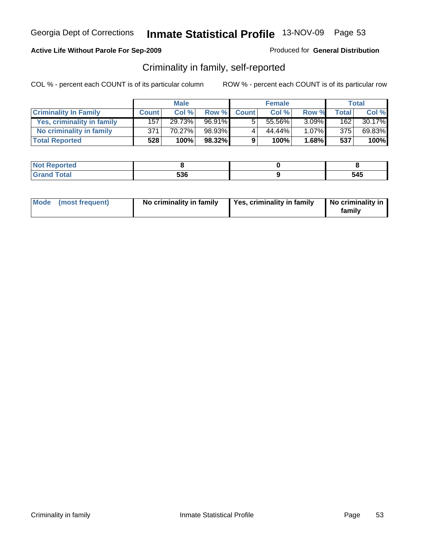#### **Active Life Without Parole For Sep-2009**

Produced for **General Distribution**

## Criminality in family, self-reported

|                              | <b>Male</b>  |        | <b>Female</b> |              |        | Total    |       |        |
|------------------------------|--------------|--------|---------------|--------------|--------|----------|-------|--------|
| <b>Criminality In Family</b> | <b>Count</b> | Col %  | Row %         | <b>Count</b> | Col %  | Row %    | Total | Col %  |
| Yes, criminality in family   | 1571         | 29.73% | $96.91\%$     | 5            | 55.56% | $3.09\%$ | 162   | 30.17% |
| No criminality in family     | 371          | 70.27% | 98.93%        | 4            | 44.44% | $1.07\%$ | 375   | 69.83% |
| <b>Total Reported</b>        | 528          | 100%   | 98.32%        | 9            | 100%   | $1.68\%$ | 537   | 100%   |

| neo                                      |     |              |
|------------------------------------------|-----|--------------|
| <b>Total</b><br>$\sim$ . $\sim$ . $\sim$ | 536 | - - -<br>545 |

|  | Mode (most frequent) | No criminality in family | Yes, criminality in family | No criminality in<br>family |
|--|----------------------|--------------------------|----------------------------|-----------------------------|
|--|----------------------|--------------------------|----------------------------|-----------------------------|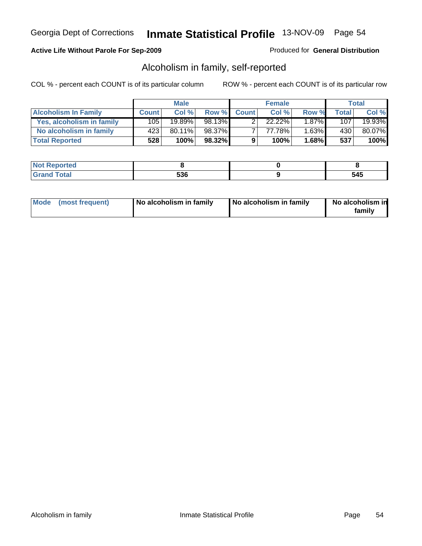### **Active Life Without Parole For Sep-2009**

#### Produced for **General Distribution**

# Alcoholism in family, self-reported

|                             | <b>Male</b>  |           | <b>Female</b> |              |        | Total    |              |           |
|-----------------------------|--------------|-----------|---------------|--------------|--------|----------|--------------|-----------|
| <b>Alcoholism In Family</b> | <b>Count</b> | Col%      | <b>Row %</b>  | <b>Count</b> | Col %  | Row %    | <b>Total</b> | Col %     |
| Yes, alcoholism in family   | 105 l        | $19.89\%$ | 98.13%        |              | 22.22% | $1.87\%$ | 1071         | $19.93\%$ |
| No alcoholism in family     | 423          | $80.11\%$ | 98.37%        |              | 77.78% | $1.63\%$ | 430          | 80.07%    |
| <b>Total Reported</b>       | 528          | 100%      | 98.32%        | 9            | 100%   | $1.68\%$ | 537          | 100%      |

| .                                 |              |                  |
|-----------------------------------|--------------|------------------|
| $\sim$ $\sim$ $\sim$ $\sim$<br>-- | EOC<br>- - - | .<br>J⊤J<br>$ -$ |

|  | Mode (most frequent) | No alcoholism in family | No alcoholism in family | No alcoholism in<br>family |
|--|----------------------|-------------------------|-------------------------|----------------------------|
|--|----------------------|-------------------------|-------------------------|----------------------------|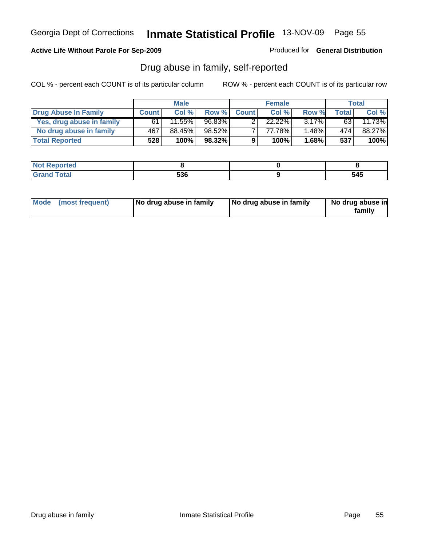### **Active Life Without Parole For Sep-2009**

Produced for **General Distribution**

# Drug abuse in family, self-reported

|                           | <b>Male</b>  |           | <b>Female</b> |              |        | Total    |       |        |
|---------------------------|--------------|-----------|---------------|--------------|--------|----------|-------|--------|
| Drug Abuse In Family      | <b>Count</b> | Col %     | Row %         | <b>Count</b> | Col %  | Row %    | Total | Col %  |
| Yes, drug abuse in family | 61           | $11.55\%$ | 96.83%        |              | 22.22% | $3.17\%$ | 63    | 11.73% |
| No drug abuse in family   | 467          | 88.45%    | 98.52%        |              | 77.78% | 1.48%    | 474   | 88.27% |
| <b>Total Reported</b>     | 528          | 100%      | $98.32\%$     | 9            | 100%   | 1.68%    | 537   | 100%   |

| onteo        |     |     |
|--------------|-----|-----|
| <b>Total</b> | 536 | 545 |

|  | Mode (most frequent) | No drug abuse in family | No drug abuse in family | No drug abuse in<br>family |
|--|----------------------|-------------------------|-------------------------|----------------------------|
|--|----------------------|-------------------------|-------------------------|----------------------------|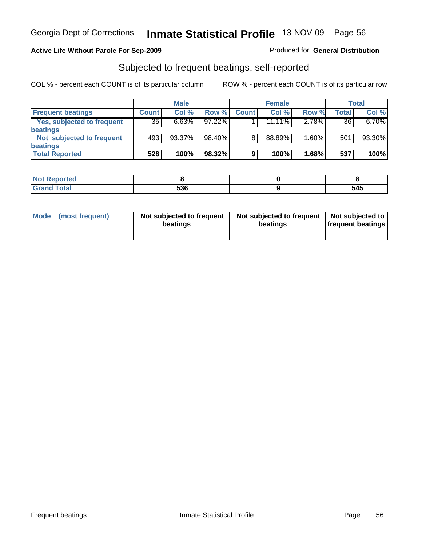### **Active Life Without Parole For Sep-2009**

#### Produced for **General Distribution**

## Subjected to frequent beatings, self-reported

|                                   |              | <b>Male</b> |           |              | <b>Female</b> |          |       | Total  |
|-----------------------------------|--------------|-------------|-----------|--------------|---------------|----------|-------|--------|
| <b>Frequent beatings</b>          | <b>Count</b> | Col%        | Row %     | <b>Count</b> | Col%          | Row %    | Total | Col %  |
| <b>Yes, subjected to frequent</b> | 35           | 6.63%       | $97.22\%$ |              | $11.11\%$     | 2.78%    | 36    | 6.70%  |
| beatings                          |              |             |           |              |               |          |       |        |
| Not subjected to frequent         | 493          | $93.37\%$   | 98.40%    | 8            | 88.89%        | $1.60\%$ | 501   | 93.30% |
| beatings                          |              |             |           |              |               |          |       |        |
| <b>Total Reported</b>             | 528          | 100%        | 98.32%    | 9            | 100%          | 1.68%    | 537   | 100%   |

| <b>Not Reported</b> |     |     |
|---------------------|-----|-----|
| Total<br>Cror       | 536 | 545 |

| Mode | (most frequent) | Not subjected to frequent<br>beatings | Not subjected to frequent   Not subjected to<br>beatings | <b>frequent beatings</b> |
|------|-----------------|---------------------------------------|----------------------------------------------------------|--------------------------|
|      |                 |                                       |                                                          |                          |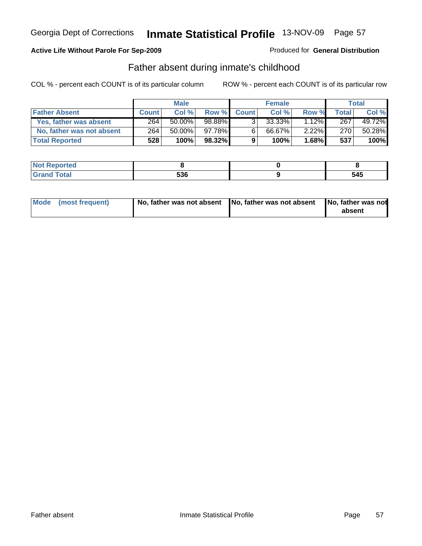#### **Active Life Without Parole For Sep-2009**

#### Produced for **General Distribution**

## Father absent during inmate's childhood

|                           |              | <b>Male</b> |           | <b>Female</b>  |           |          | <b>Total</b> |        |
|---------------------------|--------------|-------------|-----------|----------------|-----------|----------|--------------|--------|
| <b>Father Absent</b>      | <b>Count</b> | Col%        | Row %     | <b>Count</b>   | Col %     | Row %    | Total        | Col %  |
| Yes, father was absent    | 264          | $50.00\%$   | 98.88%    | 3 <sup>1</sup> | $33.33\%$ | $1.12\%$ | 267          | 49.72% |
| No, father was not absent | 264          | $50.00\%$   | 97.78%    | 6              | 66.67%    | $2.22\%$ | 270          | 50.28% |
| <b>Total Reported</b>     | 528          | 100%        | $98.32\%$ | 9              | 100%      | 1.68%    | 537          | 100%   |

| nteo         |        |     |
|--------------|--------|-----|
| <b>Total</b> | $\neg$ | 515 |
| $\sim$       | ววบ    | してつ |

| Mode (most frequent) | No, father was not absent No, father was not absent | No, father was not<br>absent |
|----------------------|-----------------------------------------------------|------------------------------|
|----------------------|-----------------------------------------------------|------------------------------|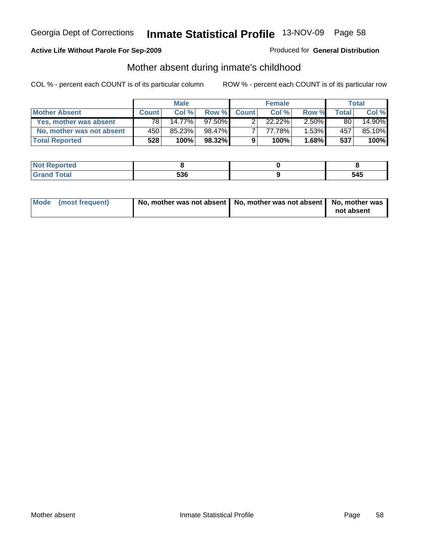#### **Active Life Without Parole For Sep-2009**

#### Produced for **General Distribution**

## Mother absent during inmate's childhood

|                           |              | <b>Male</b> |           |              | <b>Female</b> |          |       | Total  |
|---------------------------|--------------|-------------|-----------|--------------|---------------|----------|-------|--------|
| <b>Mother Absent</b>      | <b>Count</b> | Col %       | Row %     | <b>Count</b> | Col %         | Row %    | Total | Col %  |
| Yes, mother was absent    | 781          | 14.77%      | $97.50\%$ | ົ            | $22.22\%$     | $2.50\%$ | 80    | 14.90% |
| No, mother was not absent | 450          | 85.23%      | 98.47%    |              | 77.78%        | $1.53\%$ | 457   | 85.10% |
| <b>Total Reported</b>     | 528          | 100%        | 98.32%    | 9            | 100%          | $1.68\%$ | 537   | 100%   |

| Reported<br><b>NOT</b> |     |     |
|------------------------|-----|-----|
| <b>Total</b>           | 536 | 545 |

| Mode (most frequent) | No, mother was not absent   No, mother was not absent   No, mother was |            |
|----------------------|------------------------------------------------------------------------|------------|
|                      |                                                                        | not absent |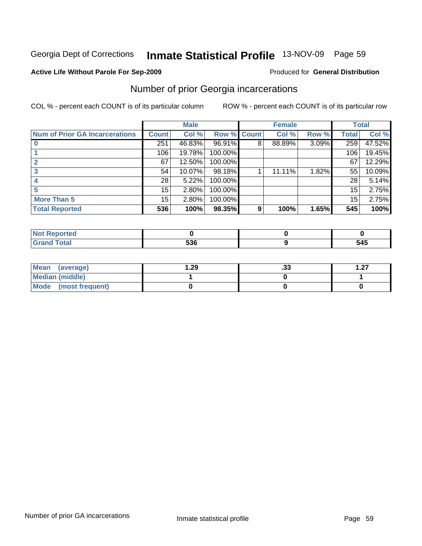#### **Active Life Without Parole For Sep-2009**

#### Produced for **General Distribution**

# Number of prior Georgia incarcerations

|                                       |              | <b>Male</b> |                    |   | <b>Female</b> |       |       | <b>Total</b> |
|---------------------------------------|--------------|-------------|--------------------|---|---------------|-------|-------|--------------|
| <b>Num of Prior GA Incarcerations</b> | <b>Count</b> | Col %       | <b>Row % Count</b> |   | Col %         | Row % | Total | Col %        |
|                                       | 251          | 46.83%      | 96.91%             | 8 | 88.89%        | 3.09% | 259   | 47.52%       |
|                                       | 106          | 19.78%      | 100.00%            |   |               |       | 106   | 19.45%       |
|                                       | 67           | 12.50%      | 100.00%            |   |               |       | 67    | 12.29%       |
|                                       | 54           | 10.07%      | 98.18%             |   | 11.11%        | 1.82% | 55    | 10.09%       |
|                                       | 28           | 5.22%       | 100.00%            |   |               |       | 28    | 5.14%        |
| 5                                     | 15           | 2.80%       | 100.00%            |   |               |       | 15    | 2.75%        |
| <b>More Than 5</b>                    | 15           | 2.80%       | 100.00%            |   |               |       | 15    | 2.75%        |
| <b>Total Reported</b>                 | 536          | 100%        | 98.35%             | 9 | 100%          | 1.65% | 545   | 100%         |

| мнал   |          |             |
|--------|----------|-------------|
| ______ | rae<br>ີ | 545<br>$ -$ |

| Mean (average)       | . .29 | . JJ | 1.27<br>I .ZI |
|----------------------|-------|------|---------------|
| Median (middle)      |       |      |               |
| Mode (most frequent) |       |      |               |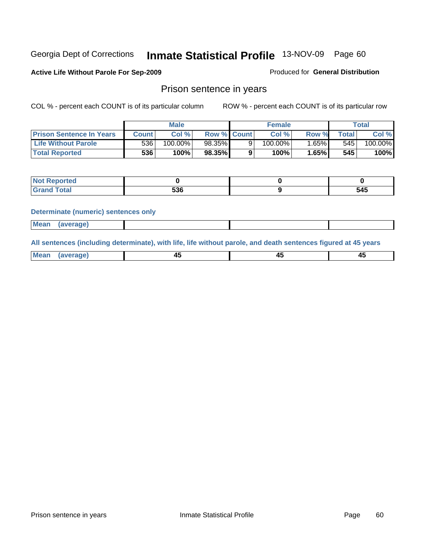#### **Active Life Without Parole For Sep-2009**

Produced for **General Distribution**

### Prison sentence in years

COL % - percent each COUNT is of its particular column ROW % - percent each COUNT is of its particular row

|                                 | Male    |         | <b>Female</b>      |  |            | Total  |       |         |
|---------------------------------|---------|---------|--------------------|--|------------|--------|-------|---------|
| <b>Prison Sentence In Years</b> | Count l | Col %   | <b>Row % Count</b> |  | Col %      | Row %  | Total | Col %   |
| <b>Life Without Parole</b>      | 5361    | 100.00% | 98.35%             |  | $100.00\%$ | .65% I | 545   | 100.00% |
| <b>Total Reported</b>           | 536     | 100%    | 98.35%             |  | 100%       | 1.65%  | 545   | 100%    |

| prted                            |            |     |
|----------------------------------|------------|-----|
| <b>cotal</b><br>$\mathbf{v}$ and | -^^<br>ววบ | 545 |

#### **Determinate (numeric) sentences only**

| <b>Mean</b> | (average) |  |  |
|-------------|-----------|--|--|
|             |           |  |  |

**All sentences (including determinate), with life, life without parole, and death sentences figured at 45 years**

| M | т.<br>$\sim$ |  |
|---|--------------|--|
|   |              |  |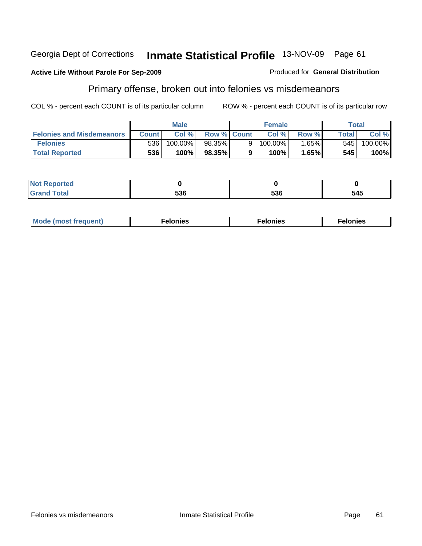#### **Active Life Without Parole For Sep-2009**

# Primary offense, broken out into felonies vs misdemeanors

COL % - percent each COUNT is of its particular column ROW % - percent each COUNT is of its particular row

Produced for **General Distribution**

|                                  |              | <b>Male</b> |                    | <b>Female</b> |            | Total |              |            |
|----------------------------------|--------------|-------------|--------------------|---------------|------------|-------|--------------|------------|
| <b>Felonies and Misdemeanors</b> | <b>Count</b> | Col %       | <b>Row % Count</b> |               | Col%       | Row % | <b>Total</b> | Col %      |
| <b>Felonies</b>                  | 536          | 100.00%     | 98.35%             |               | $100.00\%$ | 1.65% | 545          | $100.00\%$ |
| <b>Total Reported</b>            | 536          | 100%        | 98.35%             |               | 100%       | 1.65% | 545          | 100%       |

| ted.<br>NO<br>. |       |                   |     |
|-----------------|-------|-------------------|-----|
| $\sim$          | - ^ ^ | <b>FOC</b><br>ჂჂႦ | 545 |

| M.<br>uenti<br>че.<br>. | . | nies:<br>. |
|-------------------------|---|------------|
|-------------------------|---|------------|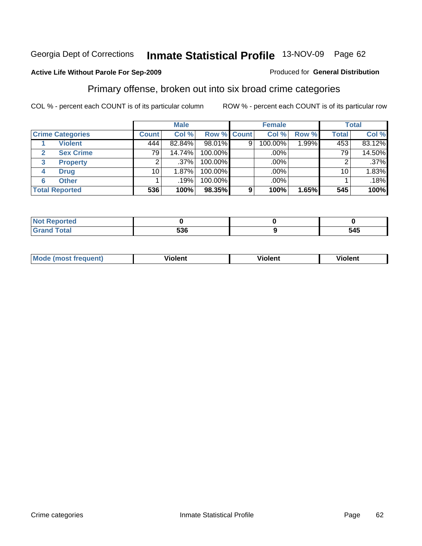#### **Active Life Without Parole For Sep-2009**

#### Produced for **General Distribution**

# Primary offense, broken out into six broad crime categories

|                                  | <b>Male</b>  |         |                    | <b>Female</b> |         |       | <b>Total</b> |         |  |
|----------------------------------|--------------|---------|--------------------|---------------|---------|-------|--------------|---------|--|
| <b>Crime Categories</b>          | <b>Count</b> | Col %   | <b>Row % Count</b> |               | Col %   | Row % | <b>Total</b> | Col %   |  |
| <b>Violent</b>                   | 444          | 82.84%  | 98.01%             | 9             | 100.00% | 1.99% | 453          | 83.12%  |  |
| <b>Sex Crime</b><br>$\mathbf{2}$ | 791          | 14.74%  | 100.00%            |               | .00%    |       | 79           | 14.50%  |  |
| <b>Property</b><br>3             |              | $.37\%$ | 100.00%            |               | .00%    |       |              | $.37\%$ |  |
| <b>Drug</b><br>4                 | 10           | 1.87%   | 100.00%            |               | .00%    |       | 10           | 1.83%   |  |
| <b>Other</b><br>6                |              | .19%    | 100.00%            |               | .00%    |       |              | .18%    |  |
| <b>Total Reported</b>            | 536          | 100%    | 98.35%             | 9             | 100%    | 1.65% | 545          | 100%    |  |

| <b>Reported</b><br>- NO.<br>$\cdots$ |     |     |
|--------------------------------------|-----|-----|
| <b>Total</b><br><b></b>              | 536 | 545 |

| M | . .<br>----<br>. не | ılent | ш |
|---|---------------------|-------|---|
|   |                     |       |   |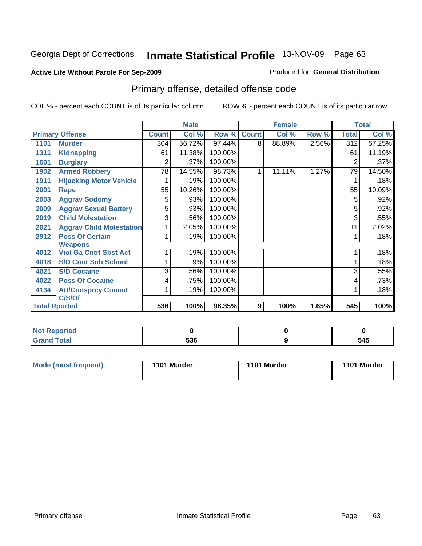#### **Active Life Without Parole For Sep-2009**

#### Produced for **General Distribution**

# Primary offense, detailed offense code

|      |                                 |                | <b>Male</b> |         |              | <b>Female</b> |       |                  | <b>Total</b> |
|------|---------------------------------|----------------|-------------|---------|--------------|---------------|-------|------------------|--------------|
|      | <b>Primary Offense</b>          | <b>Count</b>   | Col %       | Row %   | <b>Count</b> | Col %         | Row % | <b>Total</b>     | Col %        |
| 1101 | <b>Murder</b>                   | 304            | 56.72%      | 97.44%  | 8            | 88.89%        | 2.56% | $\overline{312}$ | 57.25%       |
| 1311 | <b>Kidnapping</b>               | 61             | 11.38%      | 100.00% |              |               |       | 61               | 11.19%       |
| 1601 | <b>Burglary</b>                 | $\overline{2}$ | .37%        | 100.00% |              |               |       | 2                | .37%         |
| 1902 | <b>Armed Robbery</b>            | 78             | 14.55%      | 98.73%  | 1            | 11.11%        | 1.27% | 79               | 14.50%       |
| 1911 | <b>Hijacking Motor Vehicle</b>  |                | .19%        | 100.00% |              |               |       |                  | .18%         |
| 2001 | Rape                            | 55             | 10.26%      | 100.00% |              |               |       | 55               | 10.09%       |
| 2003 | <b>Aggrav Sodomy</b>            | 5              | .93%        | 100.00% |              |               |       | 5                | .92%         |
| 2009 | <b>Aggrav Sexual Battery</b>    | 5              | .93%        | 100.00% |              |               |       | 5                | .92%         |
| 2019 | <b>Child Molestation</b>        | $\overline{3}$ | .56%        | 100.00% |              |               |       | 3                | .55%         |
| 2021 | <b>Aggrav Child Molestation</b> | 11             | 2.05%       | 100.00% |              |               |       | 11               | 2.02%        |
| 2912 | <b>Poss Of Certain</b>          |                | .19%        | 100.00% |              |               |       |                  | .18%         |
|      | <b>Weapons</b>                  |                |             |         |              |               |       |                  |              |
| 4012 | <b>Viol Ga Cntrl Sbst Act</b>   |                | .19%        | 100.00% |              |               |       |                  | .18%         |
| 4018 | <b>S/D Cont Sub School</b>      |                | .19%        | 100.00% |              |               |       |                  | .18%         |
| 4021 | <b>S/D Cocaine</b>              | 3              | .56%        | 100.00% |              |               |       | 3                | .55%         |
| 4022 | <b>Poss Of Cocaine</b>          | 4              | .75%        | 100.00% |              |               |       | 4                | .73%         |
| 4134 | <b>Att/Consprcy Commt</b>       |                | .19%        | 100.00% |              |               |       |                  | .18%         |
|      | C/S/Of                          |                |             |         |              |               |       |                  |              |
|      | <b>Total Rported</b>            | 536            | 100%        | 98.35%  | 9            | 100%          | 1.65% | 545              | 100%         |

| <b>Reported</b> |     |     |
|-----------------|-----|-----|
| <b>Total</b>    | 536 | 545 |

| Mode (most frequent) | 1101 Murder | 1101 Murder | 1101 Murder |
|----------------------|-------------|-------------|-------------|
|----------------------|-------------|-------------|-------------|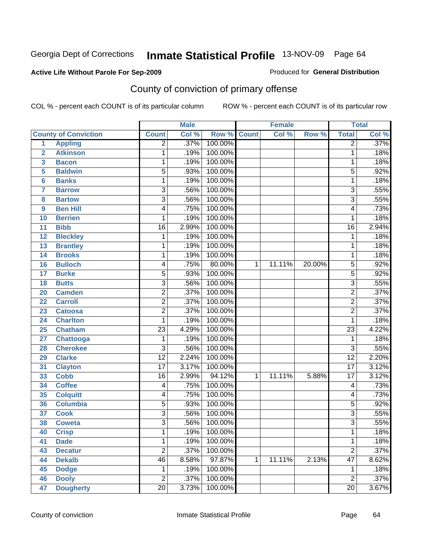### **Active Life Without Parole For Sep-2009**

Produced for **General Distribution**

# County of conviction of primary offense

|                 |                             |                 | <b>Male</b> |         |              | <b>Female</b> |        |                 | <b>Total</b> |
|-----------------|-----------------------------|-----------------|-------------|---------|--------------|---------------|--------|-----------------|--------------|
|                 | <b>County of Conviction</b> | <b>Count</b>    | Col %       | Row %   | <b>Count</b> | Col %         | Row %  | <b>Total</b>    | Col %        |
| 1               | <b>Appling</b>              | $\overline{2}$  | .37%        | 100.00% |              |               |        | $\overline{2}$  | .37%         |
| $\overline{2}$  | <b>Atkinson</b>             | 1               | .19%        | 100.00% |              |               |        | 1               | .18%         |
| 3               | <b>Bacon</b>                | 1               | .19%        | 100.00% |              |               |        | 1               | .18%         |
| 5               | <b>Baldwin</b>              | $\overline{5}$  | .93%        | 100.00% |              |               |        | $\overline{5}$  | .92%         |
| 6               | <b>Banks</b>                | 1               | .19%        | 100.00% |              |               |        | 1               | .18%         |
| $\overline{7}$  | <b>Barrow</b>               | $\overline{3}$  | .56%        | 100.00% |              |               |        | $\overline{3}$  | .55%         |
| 8               | <b>Bartow</b>               | $\overline{3}$  | .56%        | 100.00% |              |               |        | $\overline{3}$  | .55%         |
| 9               | <b>Ben Hill</b>             | 4               | .75%        | 100.00% |              |               |        | 4               | .73%         |
| 10              | <b>Berrien</b>              | 1               | .19%        | 100.00% |              |               |        | 1               | .18%         |
| 11              | <b>Bibb</b>                 | $\overline{16}$ | 2.99%       | 100.00% |              |               |        | $\overline{16}$ | 2.94%        |
| 12              | <b>Bleckley</b>             | 1               | .19%        | 100.00% |              |               |        | 1               | .18%         |
| 13              | <b>Brantley</b>             | 1               | .19%        | 100.00% |              |               |        | 1               | .18%         |
| $\overline{14}$ | <b>Brooks</b>               | 1               | .19%        | 100.00% |              |               |        | 1               | .18%         |
| 16              | <b>Bulloch</b>              | 4               | .75%        | 80.00%  | $\mathbf{1}$ | 11.11%        | 20.00% | $\overline{5}$  | .92%         |
| 17              | <b>Burke</b>                | $\overline{5}$  | .93%        | 100.00% |              |               |        | $\overline{5}$  | .92%         |
| 18              | <b>Butts</b>                | 3               | .56%        | 100.00% |              |               |        | $\overline{3}$  | .55%         |
| 20              | <b>Camden</b>               | $\overline{2}$  | .37%        | 100.00% |              |               |        | $\overline{2}$  | .37%         |
| 22              | <b>Carroll</b>              | $\overline{2}$  | .37%        | 100.00% |              |               |        | $\overline{2}$  | .37%         |
| 23              | <b>Catoosa</b>              | $\overline{2}$  | .37%        | 100.00% |              |               |        | $\overline{2}$  | .37%         |
| 24              | <b>Charlton</b>             | 1               | .19%        | 100.00% |              |               |        | 1               | .18%         |
| 25              | <b>Chatham</b>              | $\overline{23}$ | 4.29%       | 100.00% |              |               |        | $\overline{23}$ | 4.22%        |
| 27              | Chattooga                   | 1               | .19%        | 100.00% |              |               |        | 1               | .18%         |
| 28              | <b>Cherokee</b>             | $\overline{3}$  | .56%        | 100.00% |              |               |        | $\overline{3}$  | .55%         |
| 29              | <b>Clarke</b>               | $\overline{12}$ | 2.24%       | 100.00% |              |               |        | $\overline{12}$ | 2.20%        |
| 31              | <b>Clayton</b>              | $\overline{17}$ | 3.17%       | 100.00% |              |               |        | $\overline{17}$ | 3.12%        |
| 33              | <b>Cobb</b>                 | 16              | 2.99%       | 94.12%  | 1            | 11.11%        | 5.88%  | $\overline{17}$ | 3.12%        |
| 34              | <b>Coffee</b>               | 4               | .75%        | 100.00% |              |               |        | 4               | .73%         |
| 35              | <b>Colquitt</b>             | 4               | .75%        | 100.00% |              |               |        | 4               | .73%         |
| 36              | <b>Columbia</b>             | $\overline{5}$  | .93%        | 100.00% |              |               |        | $\overline{5}$  | .92%         |
| 37              | <b>Cook</b>                 | 3               | .56%        | 100.00% |              |               |        | $\overline{3}$  | .55%         |
| 38              | <b>Coweta</b>               | $\overline{3}$  | .56%        | 100.00% |              |               |        | $\overline{3}$  | .55%         |
| 40              | <b>Crisp</b>                | $\mathbf 1$     | .19%        | 100.00% |              |               |        | 1               | .18%         |
| 41              | <b>Dade</b>                 | 1               | .19%        | 100.00% |              |               |        | 1               | .18%         |
| 43              | <b>Decatur</b>              | $\overline{2}$  | .37%        | 100.00% |              |               |        | $\overline{2}$  | .37%         |
| 44              | <b>Dekalb</b>               | $\overline{46}$ | 8.58%       | 97.87%  | $\mathbf 1$  | 11.11%        | 2.13%  | $\overline{47}$ | 8.62%        |
| 45              | <b>Dodge</b>                | 1               | .19%        | 100.00% |              |               |        | 1               | .18%         |
| 46              | <b>Dooly</b>                | $\overline{2}$  | .37%        | 100.00% |              |               |        | $\overline{2}$  | .37%         |
| 47              | <b>Dougherty</b>            | $\overline{20}$ | 3.73%       | 100.00% |              |               |        | $\overline{20}$ | 3.67%        |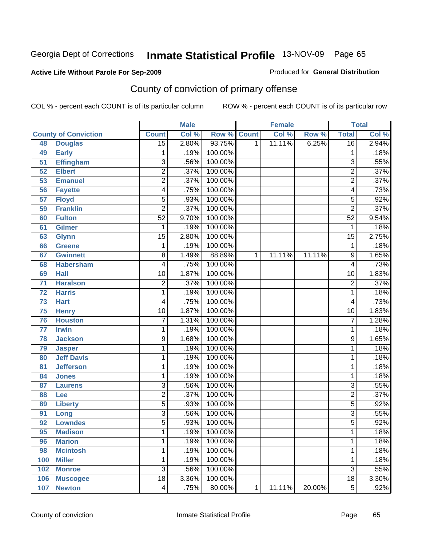#### **Active Life Without Parole For Sep-2009**

Produced for **General Distribution**

# County of conviction of primary offense

|     |                             |                 | <b>Male</b> |         |                | <b>Female</b> |        |                         | <b>Total</b> |
|-----|-----------------------------|-----------------|-------------|---------|----------------|---------------|--------|-------------------------|--------------|
|     | <b>County of Conviction</b> | <b>Count</b>    | Col %       | Row %   | <b>Count</b>   | Col %         | Row %  | <b>Total</b>            | Col %        |
| 48  | <b>Douglas</b>              | $\overline{15}$ | 2.80%       | 93.75%  | $\overline{1}$ | 11.11%        | 6.25%  | $\overline{16}$         | 2.94%        |
| 49  | <b>Early</b>                | 1               | .19%        | 100.00% |                |               |        | 1                       | .18%         |
| 51  | <b>Effingham</b>            | $\overline{3}$  | .56%        | 100.00% |                |               |        | $\overline{3}$          | .55%         |
| 52  | <b>Elbert</b>               | $\overline{2}$  | .37%        | 100.00% |                |               |        | $\overline{2}$          | .37%         |
| 53  | <b>Emanuel</b>              | $\overline{2}$  | .37%        | 100.00% |                |               |        | $\overline{2}$          | .37%         |
| 56  | <b>Fayette</b>              | 4               | .75%        | 100.00% |                |               |        | $\overline{\mathbf{4}}$ | .73%         |
| 57  | <b>Floyd</b>                | $\overline{5}$  | .93%        | 100.00% |                |               |        | $\overline{5}$          | .92%         |
| 59  | <b>Franklin</b>             | $\overline{2}$  | .37%        | 100.00% |                |               |        | $\overline{2}$          | .37%         |
| 60  | <b>Fulton</b>               | $\overline{52}$ | 9.70%       | 100.00% |                |               |        | $\overline{52}$         | 9.54%        |
| 61  | <b>Gilmer</b>               | 1               | .19%        | 100.00% |                |               |        | 1                       | .18%         |
| 63  | <b>Glynn</b>                | $\overline{15}$ | 2.80%       | 100.00% |                |               |        | $\overline{15}$         | 2.75%        |
| 66  | <b>Greene</b>               | 1               | .19%        | 100.00% |                |               |        | 1                       | .18%         |
| 67  | <b>Gwinnett</b>             | $\overline{8}$  | 1.49%       | 88.89%  | $\mathbf{1}$   | 11.11%        | 11.11% | $\overline{9}$          | 1.65%        |
| 68  | <b>Habersham</b>            | 4               | .75%        | 100.00% |                |               |        | $\overline{4}$          | .73%         |
| 69  | <b>Hall</b>                 | $\overline{10}$ | 1.87%       | 100.00% |                |               |        | $\overline{10}$         | 1.83%        |
| 71  | <b>Haralson</b>             | $\overline{2}$  | .37%        | 100.00% |                |               |        | $\overline{2}$          | .37%         |
| 72  | <b>Harris</b>               | 1               | .19%        | 100.00% |                |               |        | 1                       | .18%         |
| 73  | <b>Hart</b>                 | 4               | .75%        | 100.00% |                |               |        | 4                       | .73%         |
| 75  | <b>Henry</b>                | $\overline{10}$ | 1.87%       | 100.00% |                |               |        | $\overline{10}$         | 1.83%        |
| 76  | <b>Houston</b>              | $\overline{7}$  | 1.31%       | 100.00% |                |               |        | $\overline{7}$          | 1.28%        |
| 77  | <b>Irwin</b>                | 1               | .19%        | 100.00% |                |               |        | 1                       | .18%         |
| 78  | <b>Jackson</b>              | 9               | 1.68%       | 100.00% |                |               |        | 9                       | 1.65%        |
| 79  | <b>Jasper</b>               | 1               | .19%        | 100.00% |                |               |        | 1                       | .18%         |
| 80  | <b>Jeff Davis</b>           | 1               | .19%        | 100.00% |                |               |        | 1                       | .18%         |
| 81  | <b>Jefferson</b>            | 1               | .19%        | 100.00% |                |               |        | 1                       | .18%         |
| 84  | <b>Jones</b>                | 1               | .19%        | 100.00% |                |               |        | 1                       | .18%         |
| 87  | <b>Laurens</b>              | $\overline{3}$  | .56%        | 100.00% |                |               |        | $\overline{3}$          | .55%         |
| 88  | Lee                         | $\overline{2}$  | .37%        | 100.00% |                |               |        | $\overline{2}$          | .37%         |
| 89  | <b>Liberty</b>              | $\overline{5}$  | .93%        | 100.00% |                |               |        | $\overline{5}$          | .92%         |
| 91  | Long                        | $\overline{3}$  | .56%        | 100.00% |                |               |        | $\overline{3}$          | .55%         |
| 92  | <b>Lowndes</b>              | $\overline{5}$  | .93%        | 100.00% |                |               |        | $\overline{5}$          | .92%         |
| 95  | <b>Madison</b>              | 1               | .19%        | 100.00% |                |               |        | 1                       | .18%         |
| 96  | <b>Marion</b>               | 1               | .19%        | 100.00% |                |               |        | 1                       | .18%         |
| 98  | <b>Mcintosh</b>             | 1               | .19%        | 100.00% |                |               |        | 1                       | .18%         |
| 100 | <b>Miller</b>               | 1               | .19%        | 100.00% |                |               |        | 1                       | .18%         |
| 102 | <b>Monroe</b>               | $\overline{3}$  | .56%        | 100.00% |                |               |        | $\overline{3}$          | .55%         |
| 106 | <b>Muscogee</b>             | $\overline{18}$ | 3.36%       | 100.00% |                |               |        | $\overline{18}$         | 3.30%        |
| 107 | <b>Newton</b>               | 4               | .75%        | 80.00%  | 1              | 11.11%        | 20.00% | $\overline{5}$          | .92%         |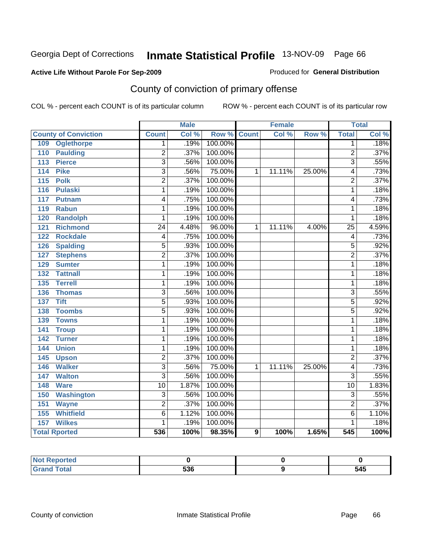### **Active Life Without Parole For Sep-2009**

Produced for **General Distribution**

# County of conviction of primary offense

|                                     |                           | <b>Male</b> |         |                  | <b>Female</b> |        |                  | <b>Total</b> |
|-------------------------------------|---------------------------|-------------|---------|------------------|---------------|--------|------------------|--------------|
| <b>County of Conviction</b>         | <b>Count</b>              | Col %       | Row %   | <b>Count</b>     | Col %         | Row %  | <b>Total</b>     | CoI%         |
| <b>Oglethorpe</b><br>109            | 1                         | .19%        | 100.00% |                  |               |        | 1                | .18%         |
| <b>Paulding</b><br>110              | $\overline{2}$            | .37%        | 100.00% |                  |               |        | $\overline{2}$   | .37%         |
| <b>Pierce</b><br>113                | 3                         | .56%        | 100.00% |                  |               |        | 3                | .55%         |
| <b>Pike</b><br>114                  | $\overline{3}$            | .56%        | 75.00%  | 1                | 11.11%        | 25.00% | $\overline{4}$   | .73%         |
| <b>Polk</b><br>$\overline{115}$     | $\overline{2}$            | .37%        | 100.00% |                  |               |        | $\overline{2}$   | .37%         |
| <b>Pulaski</b><br>116               | 1                         | .19%        | 100.00% |                  |               |        | 1                | .18%         |
| 117<br><b>Putnam</b>                | 4                         | .75%        | 100.00% |                  |               |        | $\overline{4}$   | .73%         |
| 119<br><b>Rabun</b>                 | 1                         | .19%        | 100.00% |                  |               |        | 1                | .18%         |
| <b>Randolph</b><br>120              | 1                         | .19%        | 100.00% |                  |               |        | 1                | .18%         |
| <b>Richmond</b><br>$\overline{121}$ | $\overline{24}$           | 4.48%       | 96.00%  | $\mathbf{1}$     | 11.11%        | 4.00%  | $\overline{25}$  | 4.59%        |
| <b>Rockdale</b><br>122              | 4                         | .75%        | 100.00% |                  |               |        | 4                | .73%         |
| <b>Spalding</b><br>126              | 5                         | .93%        | 100.00% |                  |               |        | 5                | .92%         |
| <b>Stephens</b><br>127              | $\overline{2}$            | .37%        | 100.00% |                  |               |        | $\overline{2}$   | .37%         |
| 129<br><b>Sumter</b>                | 1                         | .19%        | 100.00% |                  |               |        | 1                | .18%         |
| <b>Tattnall</b><br>132              | 1                         | .19%        | 100.00% |                  |               |        | $\overline{1}$   | .18%         |
| <b>Terrell</b><br>135               | 1                         | .19%        | 100.00% |                  |               |        | 1                | .18%         |
| 136<br><b>Thomas</b>                | $\overline{3}$            | .56%        | 100.00% |                  |               |        | $\overline{3}$   | .55%         |
| <b>Tift</b><br>137                  | $\overline{5}$            | .93%        | 100.00% |                  |               |        | $\overline{5}$   | .92%         |
| <b>Toombs</b><br>138                | $\overline{5}$            | .93%        | 100.00% |                  |               |        | $\overline{5}$   | .92%         |
| <b>Towns</b><br>139                 | 1                         | .19%        | 100.00% |                  |               |        | $\overline{1}$   | .18%         |
| 141<br><b>Troup</b>                 | 1                         | .19%        | 100.00% |                  |               |        | 1                | .18%         |
| 142<br><b>Turner</b>                | 1                         | .19%        | 100.00% |                  |               |        | 1                | .18%         |
| <b>Union</b><br>144                 | 1                         | .19%        | 100.00% |                  |               |        | 1                | .18%         |
| 145<br><b>Upson</b>                 | $\overline{2}$            | .37%        | 100.00% |                  |               |        | $\overline{2}$   | .37%         |
| <b>Walker</b><br>146                | $\overline{3}$            | .56%        | 75.00%  | 1                | 11.11%        | 25.00% | $\overline{4}$   | .73%         |
| <b>Walton</b><br>147                | $\overline{\overline{3}}$ | .56%        | 100.00% |                  |               |        | $\overline{3}$   | .55%         |
| <b>Ware</b><br>148                  | $\overline{10}$           | 1.87%       | 100.00% |                  |               |        | $\overline{10}$  | 1.83%        |
| <b>Washington</b><br>150            | 3                         | .56%        | 100.00% |                  |               |        | $\overline{3}$   | .55%         |
| 151<br><b>Wayne</b>                 | $\overline{2}$            | .37%        | 100.00% |                  |               |        | $\overline{2}$   | .37%         |
| <b>Whitfield</b><br>155             | $\overline{6}$            | 1.12%       | 100.00% |                  |               |        | $\overline{6}$   | 1.10%        |
| 157<br><b>Wilkes</b>                | 1                         | .19%        | 100.00% |                  |               |        | 1                | .18%         |
| <b>Total Rported</b>                | 536                       | 100%        | 98.35%  | $\boldsymbol{9}$ | 100%          | 1.65%  | $\overline{545}$ | 100%         |

| Reported<br>NOT    |     |     |
|--------------------|-----|-----|
| <b>Grand Total</b> | 536 | 545 |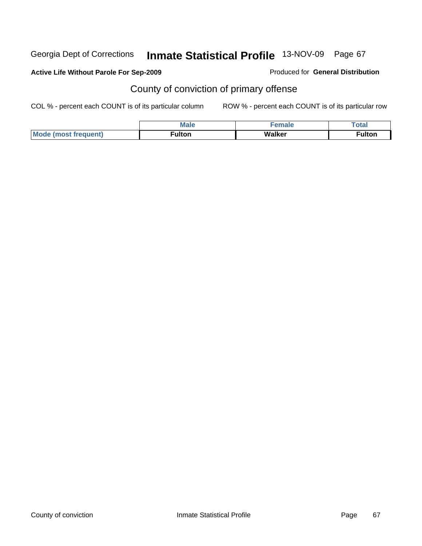### **Active Life Without Parole For Sep-2009**

#### Produced for **General Distribution**

# County of conviction of primary offense

|                             | <b>Male</b> | $\sim$ magnetic. | Totar         |
|-----------------------------|-------------|------------------|---------------|
| <b>Mode (most frequent)</b> | ™ulton      | Walker           | <b>≂ulton</b> |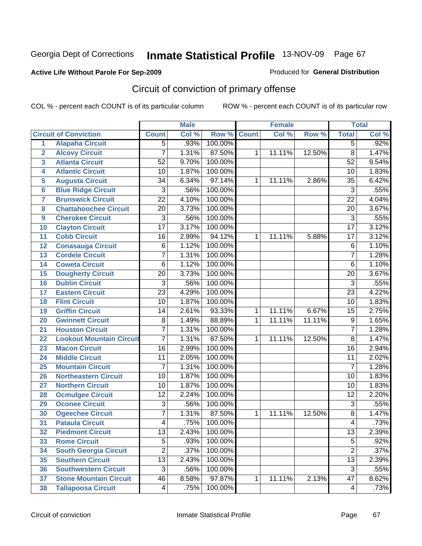### **Active Life Without Parole For Sep-2009**

Produced for **General Distribution**

# Circuit of conviction of primary offense

|                 |                                 |                 | <b>Male</b> |         |              | <b>Female</b> |        |                 | <b>Total</b> |
|-----------------|---------------------------------|-----------------|-------------|---------|--------------|---------------|--------|-----------------|--------------|
|                 | <b>Circuit of Conviction</b>    | <b>Count</b>    | Col %       | Row %   | <b>Count</b> | Col %         | Row %  | <b>Total</b>    | Col %        |
| $\overline{1}$  | <b>Alapaha Circuit</b>          | $\overline{5}$  | .93%        | 100.00% |              |               |        | $\overline{5}$  | .92%         |
| $\overline{2}$  | <b>Alcovy Circuit</b>           | $\overline{7}$  | 1.31%       | 87.50%  | 1            | 11.11%        | 12.50% | $\overline{8}$  | 1.47%        |
| 3               | <b>Atlanta Circuit</b>          | $\overline{52}$ | 9.70%       | 100.00% |              |               |        | $\overline{52}$ | 9.54%        |
| 4               | <b>Atlantic Circuit</b>         | $\overline{10}$ | 1.87%       | 100.00% |              |               |        | 10              | 1.83%        |
| 5               | <b>Augusta Circuit</b>          | $\overline{34}$ | 6.34%       | 97.14%  | $\mathbf 1$  | 11.11%        | 2.86%  | 35              | 6.42%        |
| $6\phantom{1}6$ | <b>Blue Ridge Circuit</b>       | $\overline{3}$  | .56%        | 100.00% |              |               |        | $\overline{3}$  | .55%         |
| $\overline{7}$  | <b>Brunswick Circuit</b>        | $\overline{22}$ | 4.10%       | 100.00% |              |               |        | $\overline{22}$ | 4.04%        |
| 8               | <b>Chattahoochee Circuit</b>    | $\overline{20}$ | 3.73%       | 100.00% |              |               |        | $\overline{20}$ | 3.67%        |
| 9               | <b>Cherokee Circuit</b>         | 3               | .56%        | 100.00% |              |               |        | $\overline{3}$  | .55%         |
| 10              | <b>Clayton Circuit</b>          | $\overline{17}$ | 3.17%       | 100.00% |              |               |        | $\overline{17}$ | 3.12%        |
| 11              | <b>Cobb Circuit</b>             | $\overline{16}$ | 2.99%       | 94.12%  | 1            | 11.11%        | 5.88%  | $\overline{17}$ | 3.12%        |
| 12              | <b>Conasauga Circuit</b>        | 6               | 1.12%       | 100.00% |              |               |        | $\,6$           | 1.10%        |
| 13              | <b>Cordele Circuit</b>          | 7               | 1.31%       | 100.00% |              |               |        | $\overline{7}$  | 1.28%        |
| 14              | <b>Coweta Circuit</b>           | 6               | 1.12%       | 100.00% |              |               |        | $\overline{6}$  | 1.10%        |
| 15              | <b>Dougherty Circuit</b>        | $\overline{20}$ | 3.73%       | 100.00% |              |               |        | $\overline{20}$ | 3.67%        |
| 16              | <b>Dublin Circuit</b>           | $\overline{3}$  | .56%        | 100.00% |              |               |        | $\overline{3}$  | .55%         |
| 17              | <b>Eastern Circuit</b>          | $\overline{23}$ | 4.29%       | 100.00% |              |               |        | $\overline{23}$ | 4.22%        |
| 18              | <b>Flint Circuit</b>            | $\overline{10}$ | 1.87%       | 100.00% |              |               |        | $\overline{10}$ | 1.83%        |
| 19              | <b>Griffin Circuit</b>          | 14              | 2.61%       | 93.33%  | $\mathbf{1}$ | 11.11%        | 6.67%  | $\overline{15}$ | 2.75%        |
| 20              | <b>Gwinnett Circuit</b>         | $\overline{8}$  | 1.49%       | 88.89%  | 1            | 11.11%        | 11.11% | $\overline{9}$  | 1.65%        |
| 21              | <b>Houston Circuit</b>          | $\overline{7}$  | 1.31%       | 100.00% |              |               |        | $\overline{7}$  | 1.28%        |
| 22              | <b>Lookout Mountain Circuit</b> | 7               | 1.31%       | 87.50%  | $\mathbf{1}$ | 11.11%        | 12.50% | $\overline{8}$  | 1.47%        |
| 23              | <b>Macon Circuit</b>            | $\overline{16}$ | 2.99%       | 100.00% |              |               |        | $\overline{16}$ | 2.94%        |
| 24              | <b>Middle Circuit</b>           | 11              | 2.05%       | 100.00% |              |               |        | 11              | 2.02%        |
| 25              | <b>Mountain Circuit</b>         | $\overline{7}$  | 1.31%       | 100.00% |              |               |        | $\overline{7}$  | 1.28%        |
| 26              | <b>Northeastern Circuit</b>     | $\overline{10}$ | 1.87%       | 100.00% |              |               |        | $\overline{10}$ | 1.83%        |
| 27              | <b>Northern Circuit</b>         | 10              | 1.87%       | 100.00% |              |               |        | 10              | 1.83%        |
| 28              | <b>Ocmulgee Circuit</b>         | 12              | 2.24%       | 100.00% |              |               |        | $\overline{12}$ | 2.20%        |
| 29              | <b>Oconee Circuit</b>           | $\overline{3}$  | .56%        | 100.00% |              |               |        | $\overline{3}$  | .55%         |
| 30              | <b>Ogeechee Circuit</b>         | 7               | 1.31%       | 87.50%  | 1            | 11.11%        | 12.50% | $\overline{8}$  | 1.47%        |
| 31              | <b>Pataula Circuit</b>          | 4               | .75%        | 100.00% |              |               |        | 4               | .73%         |
| 32              | <b>Piedmont Circuit</b>         | $\overline{13}$ | 2.43%       | 100.00% |              |               |        | $\overline{13}$ | 2.39%        |
| 33              | <b>Rome Circuit</b>             | $\overline{5}$  | .93%        | 100.00% |              |               |        | $\overline{5}$  | .92%         |
| 34              | <b>South Georgia Circuit</b>    | $\overline{2}$  | .37%        | 100.00% |              |               |        | $\overline{2}$  | .37%         |
| 35              | <b>Southern Circuit</b>         | $\overline{13}$ | 2.43%       | 100.00% |              |               |        | $\overline{13}$ | 2.39%        |
| 36              | <b>Southwestern Circuit</b>     | $\overline{3}$  | .56%        | 100.00% |              |               |        | $\overline{3}$  | .55%         |
| 37              | <b>Stone Mountain Circuit</b>   | 46              | 8.58%       | 97.87%  | 1            | 11.11%        | 2.13%  | 47              | 8.62%        |
| 38              | <b>Tallapoosa Circuit</b>       | 4               | .75%        | 100.00% |              |               |        | 4               | .73%         |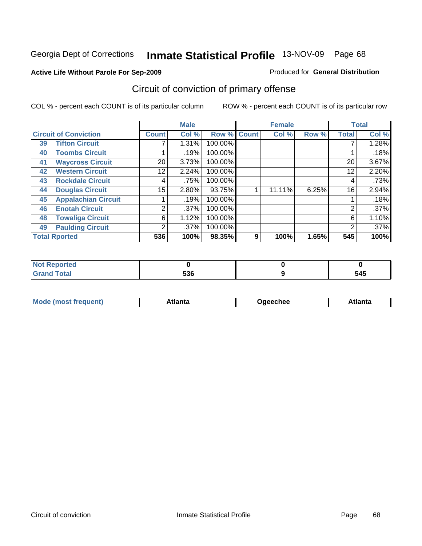#### **Active Life Without Parole For Sep-2009**

#### Produced for **General Distribution**

# Circuit of conviction of primary offense

|    |                              |                | <b>Male</b> |         |              | <b>Female</b> |       |                 | <b>Total</b> |
|----|------------------------------|----------------|-------------|---------|--------------|---------------|-------|-----------------|--------------|
|    | <b>Circuit of Conviction</b> | <b>Count</b>   | Col %       | Row %   | <b>Count</b> | Col %         | Row % | <b>Total</b>    | Col %        |
| 39 | <b>Tifton Circuit</b>        |                | 1.31%       | 100.00% |              |               |       |                 | 1.28%        |
| 40 | <b>Toombs Circuit</b>        |                | .19%        | 100.00% |              |               |       |                 | .18%         |
| 41 | <b>Waycross Circuit</b>      | 20             | 3.73%       | 100.00% |              |               |       | 20 <sup>1</sup> | 3.67%        |
| 42 | <b>Western Circuit</b>       | 12             | 2.24%       | 100.00% |              |               |       | 12              | 2.20%        |
| 43 | <b>Rockdale Circuit</b>      | 4              | .75%        | 100.00% |              |               |       | 4               | .73%         |
| 44 | <b>Douglas Circuit</b>       | 15             | 2.80%       | 93.75%  |              | 11.11%        | 6.25% | 16              | 2.94%        |
| 45 | <b>Appalachian Circuit</b>   |                | .19%        | 100.00% |              |               |       |                 | .18%         |
| 46 | <b>Enotah Circuit</b>        | $\overline{2}$ | $.37\%$     | 100.00% |              |               |       | 2               | .37%         |
| 48 | <b>Towaliga Circuit</b>      | 6              | 1.12%       | 100.00% |              |               |       | 6               | 1.10%        |
| 49 | <b>Paulding Circuit</b>      | 2              | $.37\%$     | 100.00% |              |               |       | $\overline{2}$  | .37%         |
|    | <b>Total Rported</b>         | 536            | 100%        | 98.35%  | 9            | 100%          | 1.65% | 545             | 100%         |

| .<br>тео |                     |             |
|----------|---------------------|-------------|
| $\sim$   | EOC<br>೨೨೦<br>- - - | 545<br>$ -$ |

| <b>Mode</b>    | ∖tlanta | Daeechee | tlanta |
|----------------|---------|----------|--------|
| most frequent) |         |          |        |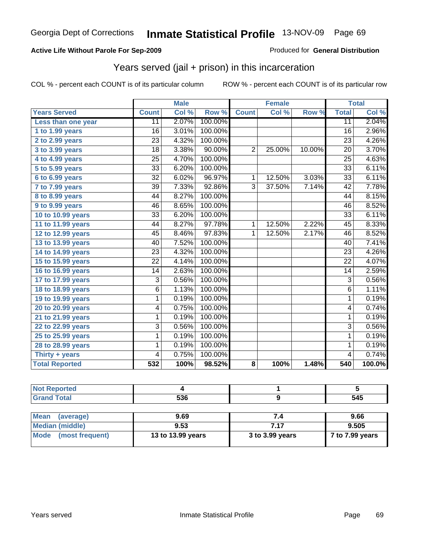#### **Active Life Without Parole For Sep-2009**

Produced for **General Distribution**

# Years served (jail + prison) in this incarceration

|                        |                 | <b>Male</b> |         |                | <b>Female</b>       |        |                  | <b>Total</b> |
|------------------------|-----------------|-------------|---------|----------------|---------------------|--------|------------------|--------------|
| <b>Years Served</b>    | <b>Count</b>    | Col %       | Row %   | <b>Count</b>   | $\overline{C}$ ol % | Row %  | <b>Total</b>     | Col %        |
| Less than one year     | 11              | 2.07%       | 100.00% |                |                     |        | $\overline{11}$  | 2.04%        |
| 1 to 1.99 years        | $\overline{16}$ | 3.01%       | 100.00% |                |                     |        | $\overline{16}$  | 2.96%        |
| 2 to 2.99 years        | $\overline{23}$ | 4.32%       | 100.00% |                |                     |        | $\overline{23}$  | 4.26%        |
| 3 to 3.99 years        | 18              | 3.38%       | 90.00%  | $\overline{2}$ | 25.00%              | 10.00% | 20               | 3.70%        |
| 4 to 4.99 years        | $\overline{25}$ | 4.70%       | 100.00% |                |                     |        | $\overline{25}$  | 4.63%        |
| 5 to 5.99 years        | $\overline{33}$ | 6.20%       | 100.00% |                |                     |        | $\overline{33}$  | 6.11%        |
| 6 to 6.99 years        | $\overline{32}$ | 6.02%       | 96.97%  | $\overline{1}$ | 12.50%              | 3.03%  | $\overline{33}$  | 6.11%        |
| 7 to 7.99 years        | $\overline{39}$ | 7.33%       | 92.86%  | $\overline{3}$ | 37.50%              | 7.14%  | 42               | 7.78%        |
| <b>8 to 8.99 years</b> | 44              | 8.27%       | 100.00% |                |                     |        | 44               | 8.15%        |
| 9 to 9.99 years        | 46              | 8.65%       | 100.00% |                |                     |        | $\overline{46}$  | 8.52%        |
| 10 to 10.99 years      | $\overline{33}$ | 6.20%       | 100.00% |                |                     |        | $\overline{33}$  | 6.11%        |
| 11 to 11.99 years      | 44              | 8.27%       | 97.78%  | $\mathbf{1}$   | 12.50%              | 2.22%  | 45               | 8.33%        |
| 12 to 12.99 years      | 45              | 8.46%       | 97.83%  | $\mathbf 1$    | 12.50%              | 2.17%  | 46               | 8.52%        |
| 13 to 13.99 years      | 40              | 7.52%       | 100.00% |                |                     |        | 40               | 7.41%        |
| 14 to 14.99 years      | $\overline{23}$ | 4.32%       | 100.00% |                |                     |        | $\overline{23}$  | 4.26%        |
| 15 to 15.99 years      | $\overline{22}$ | 4.14%       | 100.00% |                |                     |        | $\overline{22}$  | 4.07%        |
| 16 to 16.99 years      | 14              | 2.63%       | 100.00% |                |                     |        | 14               | 2.59%        |
| 17 to 17.99 years      | $\overline{3}$  | 0.56%       | 100.00% |                |                     |        | $\overline{3}$   | 0.56%        |
| 18 to 18.99 years      | $\overline{6}$  | 1.13%       | 100.00% |                |                     |        | $\overline{6}$   | 1.11%        |
| 19 to 19.99 years      | $\overline{1}$  | 0.19%       | 100.00% |                |                     |        | $\overline{1}$   | 0.19%        |
| 20 to 20.99 years      | 4               | 0.75%       | 100.00% |                |                     |        | 4                | 0.74%        |
| 21 to 21.99 years      | 1               | 0.19%       | 100.00% |                |                     |        | $\mathbf{1}$     | 0.19%        |
| 22 to 22.99 years      | 3               | 0.56%       | 100.00% |                |                     |        | $\overline{3}$   | 0.56%        |
| 25 to 25.99 years      | 1               | 0.19%       | 100.00% |                |                     |        | $\overline{1}$   | 0.19%        |
| 28 to 28.99 years      | 1               | 0.19%       | 100.00% |                |                     |        | 1                | 0.19%        |
| Thirty + years         | 4               | 0.75%       | 100.00% |                |                     |        | $\overline{4}$   | 0.74%        |
| <b>Total Reported</b>  | 532             | 100%        | 98.52%  | 8              | 100%                | 1.48%  | $\overline{540}$ | 100.0%       |

| <b>Not Reported</b>      |                   |                 |                 |
|--------------------------|-------------------|-----------------|-----------------|
| <b>Grand Total</b>       | 536               |                 | 545             |
|                          |                   |                 |                 |
| <b>Mean</b><br>(average) | 9.69              | 7.4             | 9.66            |
| <b>Median (middle)</b>   | 9.53              | 7.17            | 9.505           |
| Mode<br>(most frequent)  | 13 to 13.99 years | 3 to 3.99 years | 7 to 7.99 years |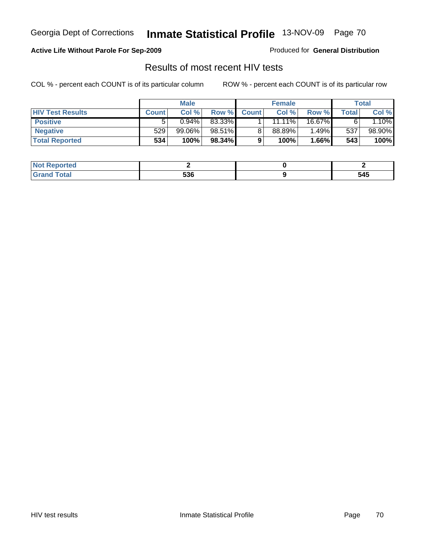#### **Active Life Without Parole For Sep-2009**

Produced for **General Distribution**

# Results of most recent HIV tests

|                         |              | <b>Male</b> |           |              | <b>Female</b> |        |       | Total   |
|-------------------------|--------------|-------------|-----------|--------------|---------------|--------|-------|---------|
| <b>HIV Test Results</b> | <b>Count</b> | Col %       | Row %     | <b>Count</b> | Col %         | Row %  | Total | Col %   |
| <b>Positive</b>         | 5            | 0.94%       | 83.33%    |              | $11.11\%$     | 16.67% |       | $.10\%$ |
| <b>Negative</b>         | 529          | $99.06\%$   | 98.51%    |              | 88.89%        | 1.49%  | 537   | 98.90%  |
| <b>Total Reported</b>   | 534          | 100%        | $98.34\%$ |              | 100%          | 1.66%  | 543   | 100%    |

| 'Not<br><b>Reported</b> |            |     |
|-------------------------|------------|-----|
| <b>Fotal</b>            | につに<br>ວວບ | 545 |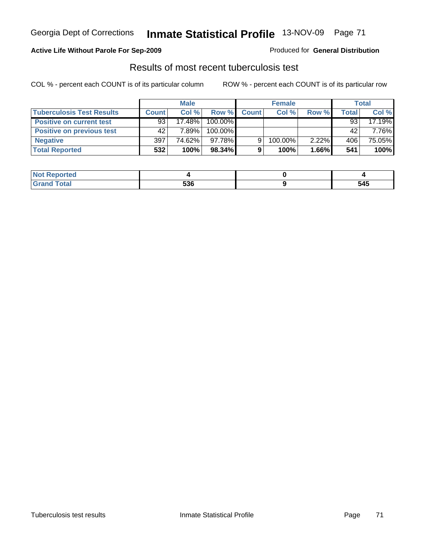### **Active Life Without Parole For Sep-2009**

Produced for **General Distribution**

## Results of most recent tuberculosis test

|                                  |              | <b>Male</b> |         |              | <b>Female</b> |       |       | <b>Total</b> |
|----------------------------------|--------------|-------------|---------|--------------|---------------|-------|-------|--------------|
| <b>Tuberculosis Test Results</b> | <b>Count</b> | Col%        | Row %   | <b>Count</b> | Col %         | Row % | Total | Col %        |
| <b>Positive on current test</b>  | 93           | 17.48%      | 100.00% |              |               |       | 93    | 17.19%       |
| <b>Positive on previous test</b> | 42           | 7.89%       | 100.00% |              |               |       | 42    | 7.76%        |
| <b>Negative</b>                  | 397          | 74.62%      | 97.78%  |              | 100.00%       | 2.22% | 406   | 75.05%       |
| <b>Total Reported</b>            | 532          | 100%        | 98.34%  |              | 100%          | 1.66% | 541   | 100%         |

| oorted        |     |     |
|---------------|-----|-----|
| <b>c</b> otal | 536 | 545 |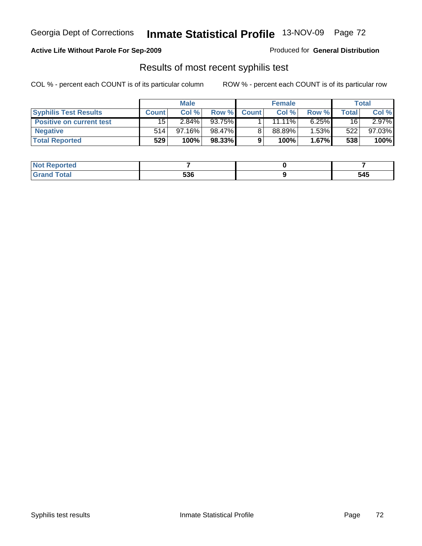Georgia Dept of Corrections **Inmate Statistical Profile** 13-NOV-09 Page 72

## **Active Life Without Parole For Sep-2009**

Produced for **General Distribution**

## Results of most recent syphilis test

COL % - percent each COUNT is of its particular column ROW % - percent each COUNT is of its particular row

|                                 | <b>Male</b>  |           |        | <b>Female</b> |           |          | Total  |        |
|---------------------------------|--------------|-----------|--------|---------------|-----------|----------|--------|--------|
| <b>Syphilis Test Results</b>    | <b>Count</b> | Col %     | Row %  | <b>Count</b>  | Col %     | Row %    | Totall | Col %  |
| <b>Positive on current test</b> | 15           | 2.84%     | 93.75% |               | $11.11\%$ | $6.25\%$ | 16     | 2.97%  |
| <b>Negative</b>                 | 514          | $97.16\%$ | 98.47% |               | 88.89%    | 1.53%    | 522    | 97.03% |
| <b>Total Reported</b>           | 529          | 100%      | 98.33% |               | 100%      | $1.67\%$ | 538    | 100%   |

| <b>Not Reported</b> |     |     |
|---------------------|-----|-----|
| <b>Total</b>        | 536 | 545 |